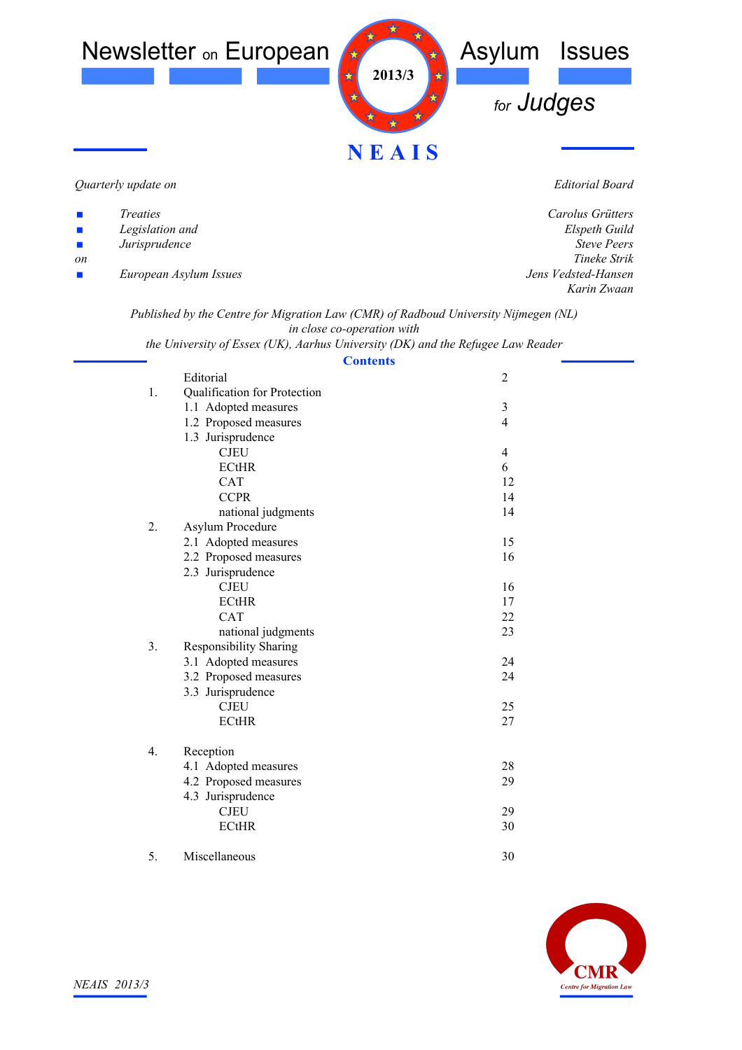

*Quarterly update on*

*Editorial Board*

| $\mathbf{r}$                | <i>Treaties</i>        | Carolus Grütters    |
|-----------------------------|------------------------|---------------------|
| $\mathcal{L}_{\mathcal{A}}$ | Legislation and        | Elspeth Guild       |
| $\mathcal{L}_{\mathcal{A}}$ | Jurisprudence          | <b>Steve Peers</b>  |
| <sub>on</sub>               |                        | Tineke Strik        |
| $\mathbf{r}$                | European Asylum Issues | Jens Vedsted-Hansen |
|                             |                        | Karin Zwaan         |
|                             |                        |                     |

*Published by the Centre for Migration Law (CMR) of Radboud University Nijmegen (NL) in close co-operation with*

*the University of Essex (UK), Aarhus University (DK) and the Refugee Law Reader*

| <b>Contents</b>                     |                |  |
|-------------------------------------|----------------|--|
| Editorial                           | $\overline{2}$ |  |
| Qualification for Protection<br>1.  |                |  |
| 1.1 Adopted measures                | $\mathfrak{Z}$ |  |
| 1.2 Proposed measures               | $\overline{4}$ |  |
| 1.3 Jurisprudence                   |                |  |
| <b>CJEU</b>                         | $\overline{4}$ |  |
| <b>ECtHR</b>                        | 6              |  |
| <b>CAT</b>                          | 12             |  |
| <b>CCPR</b>                         | 14             |  |
| national judgments                  | 14             |  |
| 2.<br>Asylum Procedure              |                |  |
| 2.1 Adopted measures                | 15             |  |
| 2.2 Proposed measures               | 16             |  |
| 2.3 Jurisprudence                   |                |  |
| <b>CJEU</b>                         | 16             |  |
| <b>ECtHR</b>                        | 17             |  |
| <b>CAT</b>                          | 22             |  |
| national judgments                  | 23             |  |
| 3.<br><b>Responsibility Sharing</b> |                |  |
| 3.1 Adopted measures                | 24             |  |
| 3.2 Proposed measures               | 24             |  |
| 3.3 Jurisprudence                   |                |  |
| <b>CJEU</b>                         | 25             |  |
| <b>ECtHR</b>                        | 27             |  |
| 4.<br>Reception                     |                |  |
| 4.1 Adopted measures                | 28             |  |
| 4.2 Proposed measures               | 29             |  |
| 4.3 Jurisprudence                   |                |  |
| <b>CJEU</b>                         | 29             |  |
| <b>ECtHR</b>                        | 30             |  |
|                                     |                |  |
|                                     |                |  |

5. Miscellaneous 30

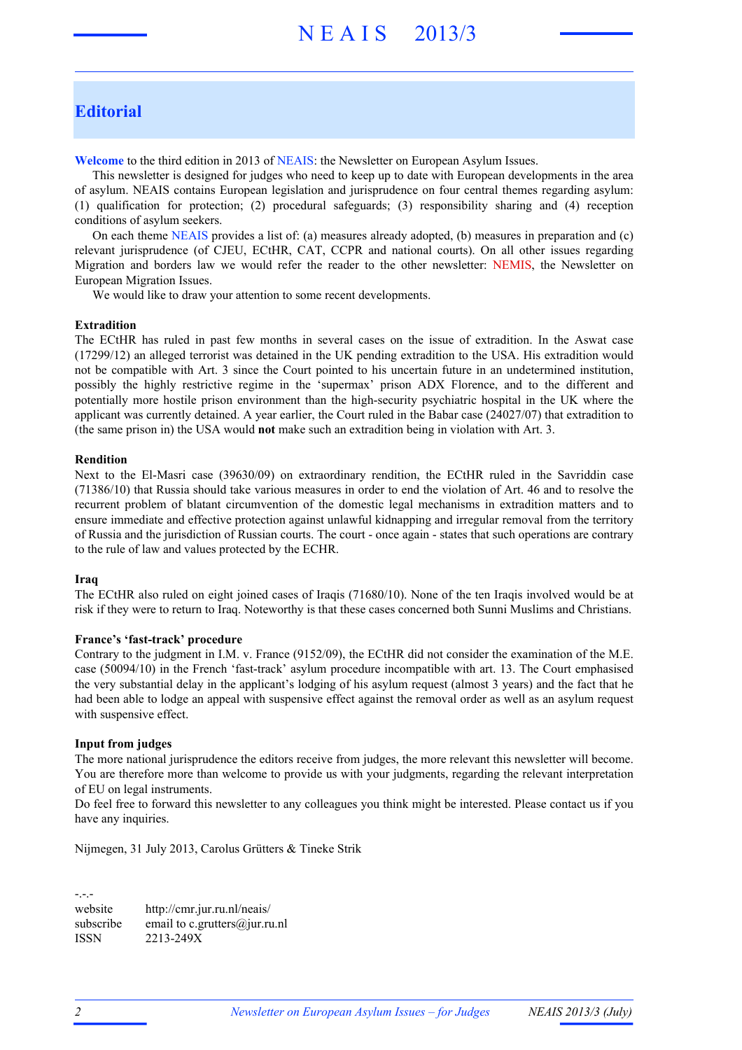# N E A I S 2013/3

## **Editorial**

**Welcome** to the third edition in 2013 of NEAIS: the Newsletter on European Asylum Issues.

This newsletter is designed for judges who need to keep up to date with European developments in the area of asylum. NEAIS contains European legislation and jurisprudence on four central themes regarding asylum: (1) qualification for protection; (2) procedural safeguards; (3) responsibility sharing and (4) reception conditions of asylum seekers.

On each theme NEAIS provides a list of: (a) measures already adopted, (b) measures in preparation and (c) relevant jurisprudence (of CJEU, ECtHR, CAT, CCPR and national courts). On all other issues regarding Migration and borders law we would refer the reader to the other newsletter: NEMIS, the Newsletter on European Migration Issues.

We would like to draw your attention to some recent developments.

#### **Extradition**

The ECtHR has ruled in past few months in several cases on the issue of extradition. In the Aswat case (17299/12) an alleged terrorist was detained in the UK pending extradition to the USA. His extradition would not be compatible with Art. 3 since the Court pointed to his uncertain future in an undetermined institution, possibly the highly restrictive regime in the 'supermax' prison ADX Florence, and to the different and potentially more hostile prison environment than the high-security psychiatric hospital in the UK where the applicant was currently detained. A year earlier, the Court ruled in the Babar case (24027/07) that extradition to (the same prison in) the USA would **not** make such an extradition being in violation with Art. 3.

#### **Rendition**

Next to the El-Masri case (39630/09) on extraordinary rendition, the ECtHR ruled in the Savriddin case (71386/10) that Russia should take various measures in order to end the violation of Art. 46 and to resolve the recurrent problem of blatant circumvention of the domestic legal mechanisms in extradition matters and to ensure immediate and effective protection against unlawful kidnapping and irregular removal from the territory of Russia and the jurisdiction of Russian courts. The court - once again - states that such operations are contrary to the rule of law and values protected by the ECHR.

#### **Iraq**

The ECtHR also ruled on eight joined cases of Iraqis (71680/10). None of the ten Iraqis involved would be at risk if they were to return to Iraq. Noteworthy is that these cases concerned both Sunni Muslims and Christians.

#### **France's 'fast-track' procedure**

Contrary to the judgment in I.M. v. France (9152/09), the ECtHR did not consider the examination of the M.E. case (50094/10) in the French 'fast-track' asylum procedure incompatible with art. 13. The Court emphasised the very substantial delay in the applicant's lodging of his asylum request (almost 3 years) and the fact that he had been able to lodge an appeal with suspensive effect against the removal order as well as an asylum request with suspensive effect.

#### **Input from judges**

The more national jurisprudence the editors receive from judges, the more relevant this newsletter will become. You are therefore more than welcome to provide us with your judgments, regarding the relevant interpretation of EU on legal instruments.

Do feel free to forward this newsletter to any colleagues you think might be interested. Please contact us if you have any inquiries.

Nijmegen, 31 July 2013, Carolus Grütters & Tineke Strik

-.-. website http://cmr.jur.ru.nl/neais/ subscribe email to c. grutters@jur.ru.nl ISSN 2213-249X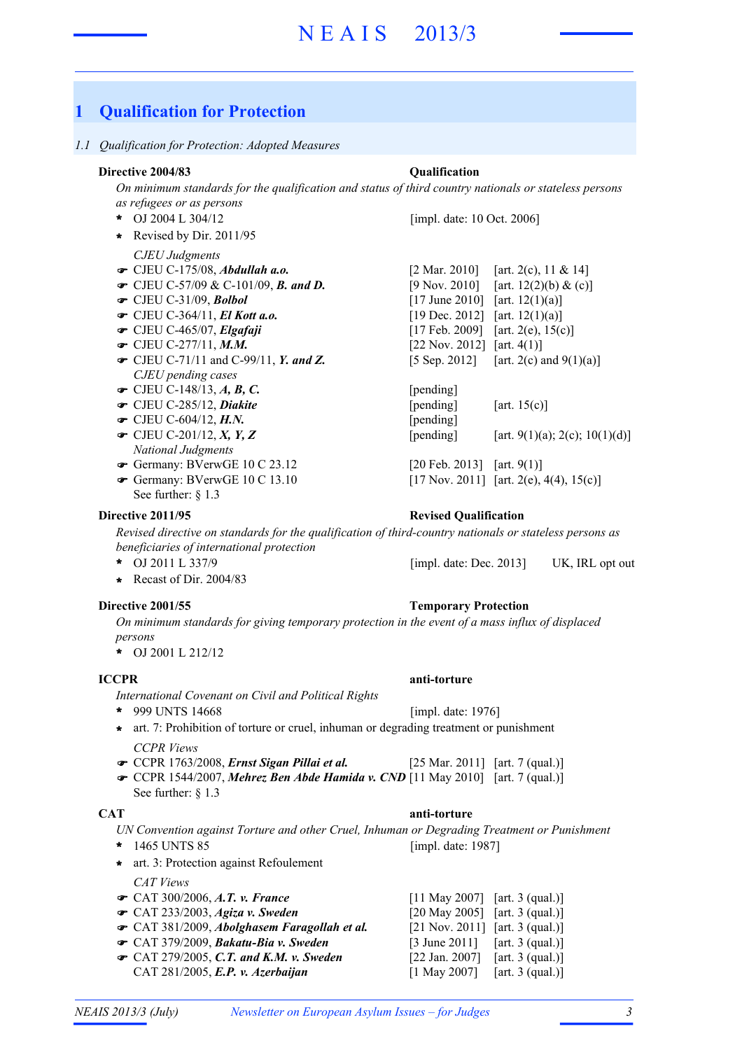## **1 Qualification for Protection**

#### *1.1 Qualification for Protection: Adopted Measures*

#### **Directive 2004/83 Qualification**

*On minimum standards for the qualification and status of third country nationals or stateless persons as refugees or as persons*

- OJ 2004 L 304/12 **\***
- **\*** Revised by Dir. 2011/95
- *CJEU Judgments*
- 
- 
- $\bullet$  CJEU C-31/09. Bolbol
- $\bullet$  CJEU C-364/11, El Kott a.o.
- $\bullet$  CJEU C-465/07, Elgafaji
- CJEU C-277/11, M.M.
- CJEU C-71/11 and C-99/11, *Y. and Z.* [5 Sep. 2012] [art. 2(c) and 9(1)(a)] *CJEU pending cases*
- CJEU C-148/13, *A, B, C.* [pending]
- 
- CJEU C-604/12, *H.N.* [pending]
- $\bullet$  CJEU C-201/12, X, Y, Z
- *National Judgments*
- Germany: BVerwGE 10 C 23.12 [20 Feb. 2013] [art. 9(1)]
- See further: § 1.3 Germany: BVerwGE 10 C 13.10

*Revised directive on standards for the qualification of third-country nationals or stateless persons as beneficiaries of international protection*

- OJ 2011 L 337/9 UK, IRL opt out **\*** [impl. date: Dec. 2013]
- **\*** Recast of Dir. 2004/83

*On minimum standards for giving temporary protection in the event of a mass influx of displaced persons*

OJ 2001 L 212/12 **\***

*International Covenant on Civil and Political Rights*

- 999 UNTS 14668 **\***
- *CCPR Views* **\*** art. 7: Prohibition of torture or cruel, inhuman or degrading treatment or punishment
- CCPR 1763/2008, *Ernst Sigan Pillai et al.* [25 Mar. 2011] [art. 7 (qual.)]
- CCPR 1544/2007, *Mehrez Ben Abde Hamida v. CND* [11 May 2010] [art. 7 (qual.)] See further: § 1.3

#### **CAT anti-torture**

- *UN Convention against Torture and other Cruel, Inhuman or Degrading Treatment or Punishment* 1465 UNTS 85 **\*** [impl. date: 1987]
- **\*** art. 3: Protection against Refoulement
	- *CAT Views*
- CAT 300/2006, *A.T. v. France* [11 May 2007] [art. 3 (qual.)]
- CAT 233/2003, *Agiza v. Sweden* [20 May 2005] [art. 3 (qual.)]
- CAT 381/2009, *Abolghasem Faragollah et al.* [21 Nov. 2011] [art. 3 (qual.)]
- CAT 379/2009, *Bakatu-Bia v. Sweden* [3 June 2011] [art. 3 (qual.)]
- CAT 279/2005, *C.T. and K.M. v. Sweden* [22 Jan. 2007] [art. 3 (qual.)] CAT 281/2005, *E.P. v. Azerbaijan* [1 May 2007] [art. 3 (qual.)]

[impl. date: 10 Oct. 2006]

CJEU C-175/08, *Abdullah a.o.* [2 Mar. 2010] [art. 2(c), 11 & 14] • CJEU C-57/09 & C-101/09, **B.** and **D.** [9 Nov. 2010] [art. 12(2)(b) & (c)]  $[17 \text{ June } 2010]$   $[art. 12(1)(a)]$ [19 Dec. 2012] [art.  $12(1)(a)$ ] [17 Feb. 2009] [art. 2(e),  $15(c)$ ] [22 Nov. 2012] [art.  $4(1)$ ]

 $\bullet$  CJEU C-285/12, *Diakite* [pending] [art. 15(c)] [pending]  $[art. 9(1)(a); 2(c); 10(1)(d)]$ 

[17 Nov. 2011] [art. 2(e), 4(4), 15(c)]

#### **Directive 2011/95 Revised Qualification**

#### **Directive 2001/55 Temporary Protection**

[impl. date: 1976]

**ICCPR anti-torture**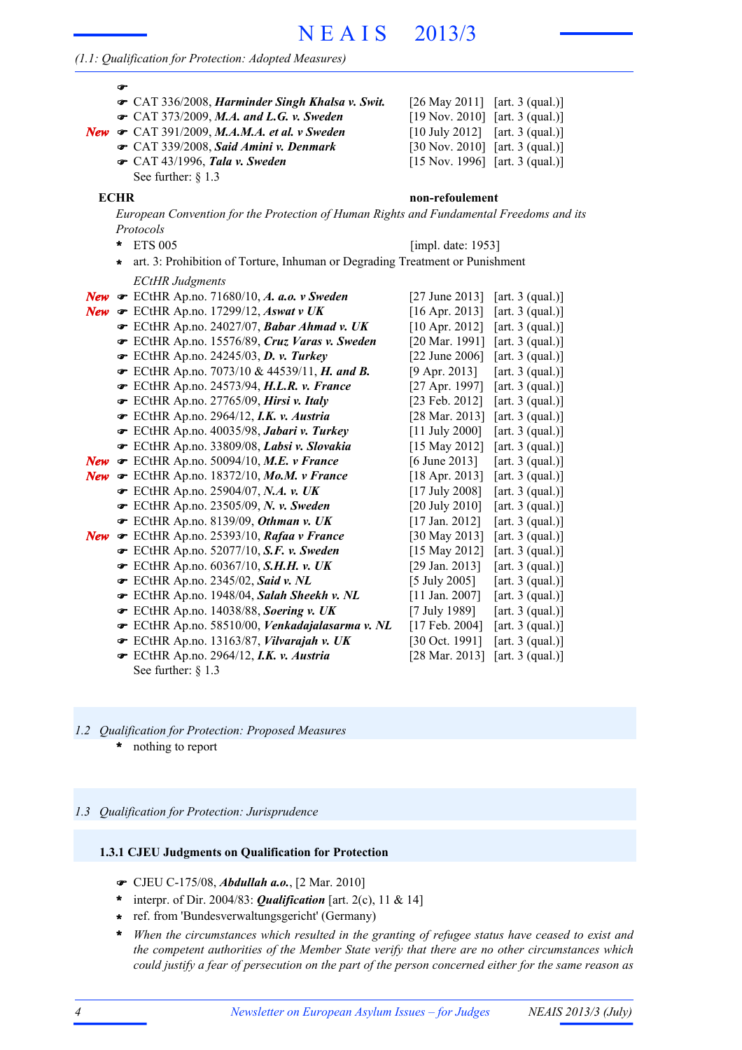# N E A I S 2013/3

#### *(1.1: Qualification for Protection: Adopted Measures)*

|            | ☞<br>CAT 336/2008, Harminder Singh Khalsa v. Swit.<br>• CAT 373/2009, M.A. and L.G. v. Sweden<br>New $\bullet$ CAT 391/2009, M.A.M.A. et al. v Sweden<br>CAT 339/2008, Said Amini v. Denmark<br>CAT 43/1996, Tala v. Sweden<br>See further: § 1.3 | [26 May 2011]<br>$[19 Nov. 2010]$ [art. 3 (qual.)]<br>$[10$ July 2012]<br>[30 Nov. 2010] [art. 3 (qual.)]<br>$[15 Nov. 1996]$ [art. 3 (qual.)] | [art. $3$ (qual.)]<br>[art. $3$ (qual.)] |
|------------|---------------------------------------------------------------------------------------------------------------------------------------------------------------------------------------------------------------------------------------------------|------------------------------------------------------------------------------------------------------------------------------------------------|------------------------------------------|
|            | <b>ECHR</b>                                                                                                                                                                                                                                       | non-refoulement                                                                                                                                |                                          |
|            | European Convention for the Protection of Human Rights and Fundamental Freedoms and its                                                                                                                                                           |                                                                                                                                                |                                          |
|            | Protocols<br><b>ETS 005</b><br>ŵ                                                                                                                                                                                                                  | [impl. date: 1953]                                                                                                                             |                                          |
|            | art. 3: Prohibition of Torture, Inhuman or Degrading Treatment or Punishment<br>$\star$                                                                                                                                                           |                                                                                                                                                |                                          |
|            | <b>ECtHR Judgments</b>                                                                                                                                                                                                                            |                                                                                                                                                |                                          |
|            | New $\bullet$ ECtHR Ap.no. 71680/10, A. a.o. v Sweden                                                                                                                                                                                             | $[27 \text{ June } 2013]$                                                                                                                      | [art. $3$ (qual.)]                       |
|            | New $\sigma$ ECtHR Ap.no. 17299/12, Aswat v UK                                                                                                                                                                                                    | $[16$ Apr. 2013]                                                                                                                               | [art. $3$ (qual.)]                       |
|            | ECtHR Ap.no. 24027/07, Babar Ahmad v. UK                                                                                                                                                                                                          | $[10$ Apr. 2012]                                                                                                                               | [art. $3$ (qual.)]                       |
|            | ECtHR Ap.no. 15576/89, Cruz Varas v. Sweden                                                                                                                                                                                                       | [20 Mar. 1991]                                                                                                                                 | [art. $3$ (qual.)]                       |
|            | ECtHR Ap.no. 24245/03, D. v. Turkey                                                                                                                                                                                                               | $[22 \text{ June } 2006]$                                                                                                                      | [art. $3$ (qual.)]                       |
|            | ECtHR Ap.no. 7073/10 & 44539/11, H. and B.                                                                                                                                                                                                        | $[9$ Apr. 2013]                                                                                                                                | [art. $3$ (qual.)]                       |
|            | The ECtHR Ap.no. 24573/94, H.L.R. v. France                                                                                                                                                                                                       | [27 Apr. 1997]                                                                                                                                 | [art. $3$ (qual.)]                       |
|            | ECtHR Ap.no. 27765/09, Hirsi v. Italy                                                                                                                                                                                                             | [23 Feb. 2012]                                                                                                                                 | [art. $3$ (qual.)]                       |
|            | ECtHR Ap.no. 2964/12, I.K. v. Austria                                                                                                                                                                                                             | [28 Mar. 2013]                                                                                                                                 | [art. $3$ (qual.)]                       |
|            | ECtHR Ap.no. 40035/98, Jabari v. Turkey                                                                                                                                                                                                           | $[11$ July 2000]                                                                                                                               | [art. $3$ (qual.)]                       |
|            | ECtHR Ap.no. 33809/08, Labsi v. Slovakia                                                                                                                                                                                                          | [15 May 2012]                                                                                                                                  | [art. $3$ (qual.)]                       |
|            | New $\bullet$ ECtHR Ap.no. 50094/10, M.E. v France                                                                                                                                                                                                | $[6 \text{ June } 2013]$                                                                                                                       | [art. $3$ (qual.)]                       |
| New        | ECtHR Ap.no. 18372/10, Mo.M. v France                                                                                                                                                                                                             | $[18$ Apr. 2013]                                                                                                                               | [art. $3$ (qual.)]                       |
|            | ECtHR Ap.no. 25904/07, N.A. v. UK                                                                                                                                                                                                                 | $[17$ July 2008]                                                                                                                               | [art. $3$ (qual.)]                       |
|            | ECtHR Ap.no. 23505/09, N. v. Sweden                                                                                                                                                                                                               | [20 July 2010]                                                                                                                                 | [art. $3$ (qual.)]                       |
|            | F ECtHR Ap.no. 8139/09, Othman v. UK                                                                                                                                                                                                              | [17 Jan. 2012]                                                                                                                                 | [art. $3$ (qual.)]                       |
| <b>New</b> | ECtHR Ap.no. 25393/10, Rafaa v France                                                                                                                                                                                                             | [30 May 2013]                                                                                                                                  | [art. $3$ (qual.)]                       |
|            | The ECtHR Ap.no. 52077/10, S.F. v. Sweden                                                                                                                                                                                                         | [15 May 2012]                                                                                                                                  | [art. $3$ (qual.)]                       |
|            | The ECtHR Ap.no. 60367/10, S.H.H. v. UK                                                                                                                                                                                                           | [29 Jan. 2013]                                                                                                                                 | [art. $3$ (qual.)]                       |
|            | ECtHR Ap.no. 2345/02, Said v. NL                                                                                                                                                                                                                  | $[5 \text{ July } 2005]$                                                                                                                       | [art. $3$ (qual.)]                       |
|            | F ECtHR Ap.no. 1948/04, Salah Sheekh v. NL                                                                                                                                                                                                        | $[11$ Jan. 2007]                                                                                                                               | [art. $3$ (qual.)]                       |
|            | ECtHR Ap.no. 14038/88, Soering v. UK                                                                                                                                                                                                              | [7 July 1989]                                                                                                                                  | [art. $3$ (qual.)]                       |
|            | ECtHR Ap.no. 58510/00, Venkadajalasarma v. NL                                                                                                                                                                                                     | $[17$ Feb. 2004]                                                                                                                               | [art. $3$ (qual.)]                       |
|            | FCtHR Ap.no. 13163/87, Vilvarajah v. UK                                                                                                                                                                                                           | [30 Oct. 1991]                                                                                                                                 | [art. $3$ (qual.)]                       |
|            | ECtHR Ap.no. 2964/12, I.K. v. Austria                                                                                                                                                                                                             | [28 Mar. 2013]                                                                                                                                 | [art. $3$ (qual.)]                       |
|            | See further: $\S$ 1.3                                                                                                                                                                                                                             |                                                                                                                                                |                                          |

nothing to report **\*** *1.2 Qualification for Protection: Proposed Measures*

#### *1.3 Qualification for Protection: Jurisprudence*

#### **1.3.1 CJEU Judgments on Qualification for Protection**

- CJEU C-175/08, *Abdullah a.o.*, [2 Mar. 2010]
- \* interpr. of Dir. 2004/83: **Qualification** [art. 2(c), 11 & 14]
- ref. from 'Bundesverwaltungsgericht' (Germany) **\***
- *When the circumstances which resulted in the granting of refugee status have ceased to exist and* **\*** *the competent authorities of the Member State verify that there are no other circumstances which* could justify a fear of persecution on the part of the person concerned either for the same reason as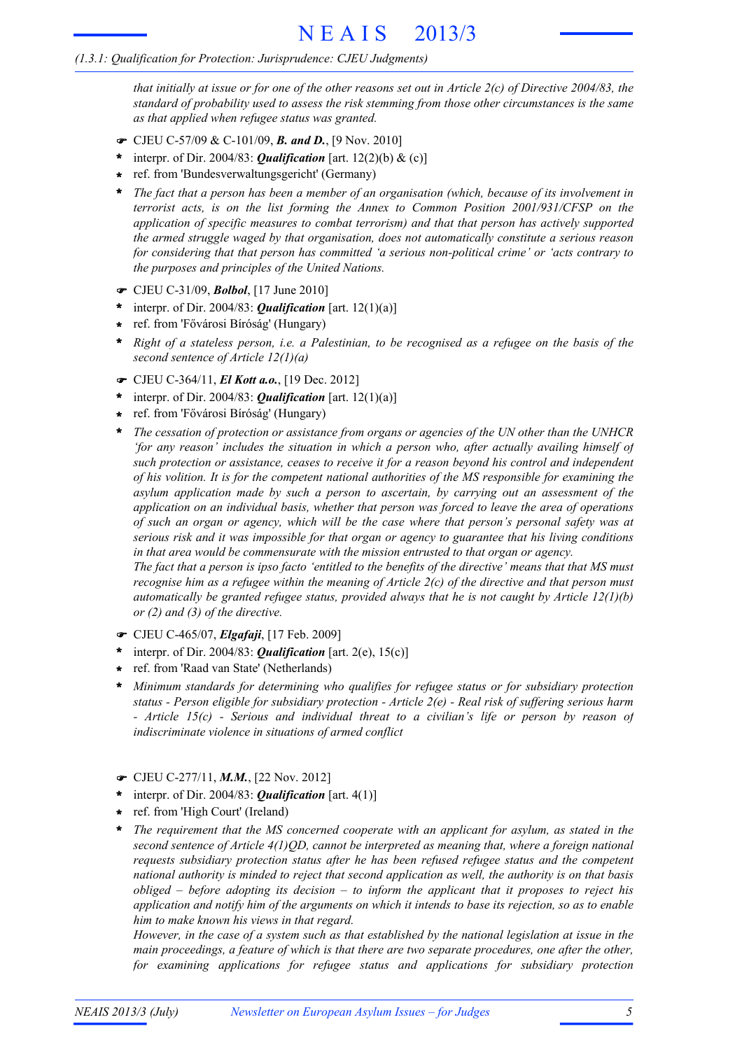that initially at issue or for one of the other reasons set out in Article  $2(c)$  of Directive 2004/83, the *standard of probability used to assess the risk stemming from those other circumstances is the same as that applied when refugee status was granted.*

- CJEU C-57/09 & C-101/09, *B. and D.*, [9 Nov. 2010]
- \* interpr. of Dir. 2004/83: **Qualification** [art. 12(2)(b) & (c)]
- ref. from 'Bundesverwaltungsgericht' (Germany) **\***
- *The fact that a person has been a member of an organisation (which, because of its involvement in terrorist acts, is on the list forming the Annex to Common Position 2001/931/CFSP on the application of specific measures to combat terrorism) and that that person has actively supported the armed struggle waged by that organisation, does not automatically constitute a serious reason for considering that that person has committed 'a serious non-political crime' or 'acts contrary to the purposes and principles of the United Nations.* **\***
- CJEU C-31/09, *Bolbol*, [17 June 2010]
- interpr. of Dir. 2004/83: *Qualification* [art. 12(1)(a)] **\***
- ref. from 'Fővárosi Bíróság' (Hungary) **\***
- Right of a stateless person, i.e. a Palestinian, to be recognised as a refugee on the basis of the *second sentence of Article 12(1)(a)* **\***
- CJEU C-364/11, *El Kott a.o.*, [19 Dec. 2012]
- interpr. of Dir. 2004/83: *Qualification* [art. 12(1)(a)] **\***
- ref. from 'Fővárosi Bíróság' (Hungary) **\***
- *The cessation of protection or assistance from organs or agencies of the UN other than the UNHCR 'for any reason' includes the situation in which a person who, after actually availing himself of such protection or assistance, ceases to receive it for a reason beyond his control and independent of his volition. It is for the competent national authorities of the MS responsible for examining the asylum application made by such a person to ascertain, by carrying out an assessment of the application on an individual basis, whether that person was forced to leave the area of operations of such an organ or agency, which will be the case where that person's personal safety was at serious risk and it was impossible for that organ or agency to guarantee that his living conditions in that area would be commensurate with the mission entrusted to that organ or agency.* **\***

The fact that a person is ipso facto 'entitled to the benefits of the directive' means that that MS must recognise him as a refugee within the meaning of Article  $2(c)$  of the directive and that person must *automatically be granted refugee status, provided always that he is not caught by Article 12(1)(b) or (2) and (3) of the directive.*

- CJEU C-465/07, *Elgafaji*, [17 Feb. 2009]
- interpr. of Dir. 2004/83: *Qualification* [art. 2(e), 15(c)] **\***
- ref. from 'Raad van State' (Netherlands) **\***
- *Minimum standards for determining who qualifies for refugee status or for subsidiary protection status - Person eligible for subsidiary protection - Article 2(e) - Real risk of suffering serious harm - Article 15(c) - Serious and individual threat to a civilian's life or person by reason of indiscriminate violence in situations of armed conflict* **\***
- CJEU C-277/11, *M.M.*, [22 Nov. 2012]
- \* interpr. of Dir. 2004/83: *Qualification* [art. 4(1)]
- ref. from 'High Court' (Ireland) **\***
- *The requirement that the MS concerned cooperate with an applicant for asylum, as stated in the second sentence of Article 4(1)QD, cannot be interpreted as meaning that, where a foreign national requests subsidiary protection status after he has been refused refugee status and the competent national authority is minded to reject that second application as well, the authority is on that basis obliged – before adopting its decision – to inform the applicant that it proposes to reject his* application and notify him of the arguments on which it intends to base its rejection, so as to enable *him to make known his views in that regard.* **\***

However, in the case of a system such as that established by the national legislation at issue in the *main proceedings, a feature of which is that there are two separate procedures, one after the other, for examining applications for refugee status and applications for subsidiary protection*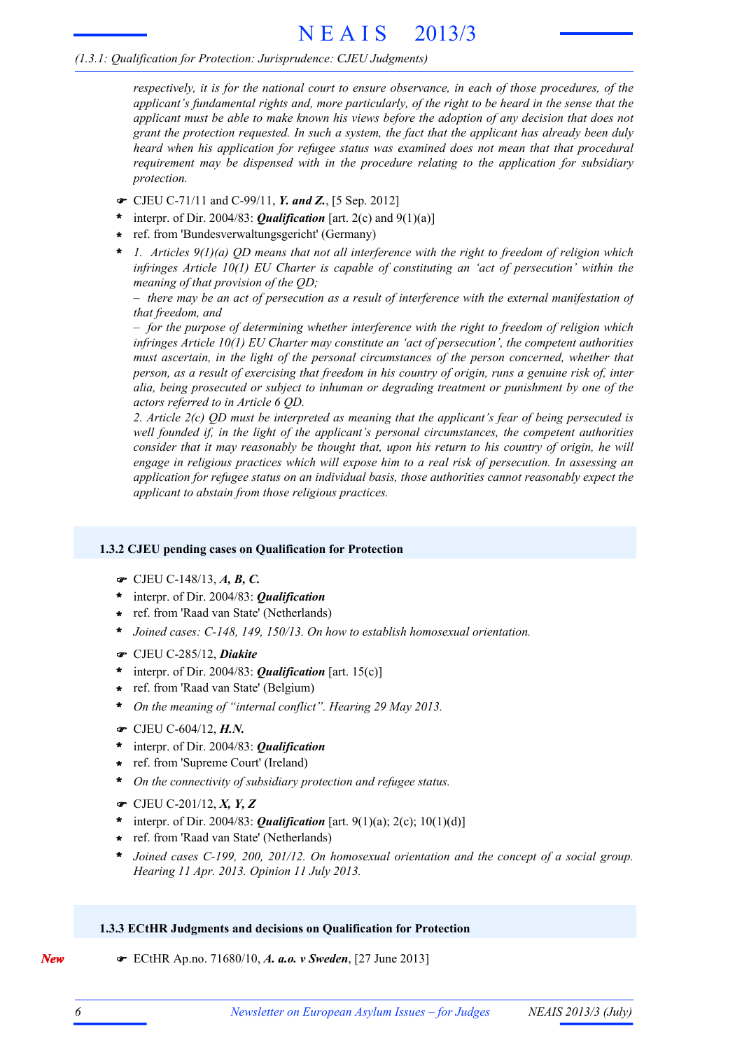*respectively, it is for the national court to ensure observance, in each of those procedures, of the applicant's fundamental rights and, more particularly, of the right to be heard in the sense that the applicant must be able to make known his views before the adoption of any decision that does not grant the protection requested. In such a system, the fact that the applicant has already been duly heard when his application for refugee status was examined does not mean that that procedural requirement may be dispensed with in the procedure relating to the application for subsidiary protection.*

- CJEU C-71/11 and C-99/11, *Y. and Z.*, [5 Sep. 2012]
- interpr. of Dir. 2004/83: *Qualification* [art. 2(c) and 9(1)(a)] **\***
- ref. from 'Bundesverwaltungsgericht' (Germany) **\***
- *1. Articles 9(1)(a) QD means that not all interference with the right to freedom of religion which infringes Article 10(1) EU Charter is capable of constituting an 'act of persecution' within the meaning of that provision of the QD;* **\***

 $-$  there may be an act of persecution as a result of interference with the external manifestation of *that freedom, and*

*– for the purpose of determining whether interference with the right to freedom of religion which infringes Article 10(1) EU Charter may constitute an 'act of persecution', the competent authorities must ascertain, in the light of the personal circumstances of the person concerned, whether that* person, as a result of exercising that freedom in his country of origin, runs a genuine risk of, inter *alia, being prosecuted or subject to inhuman or degrading treatment or punishment by one of the actors referred to in Article 6 QD.*

*2. Article 2(c) QD must be interpreted as meaning that the applicant's fear of being persecuted is well founded if, in the light of the applicant's personal circumstances, the competent authorities consider that it may reasonably be thought that, upon his return to his country of origin, he will engage in religious practices which will expose him to a real risk of persecution. In assessing an application for refugee status on an individual basis, those authorities cannot reasonably expect the applicant to abstain from those religious practices.*

## **1.3.2 CJEU pending cases on Qualification for Protection**

- CJEU C-148/13, *A, B, C.*
- interpr. of Dir. 2004/83: *Qualification* **\***
- ref. from 'Raad van State' (Netherlands) **\***
- **\*** *Joined cases: C-148, 149, 150/13. On how to establish homosexual orientation.*
- CJEU C-285/12, *Diakite*
- \* interpr. of Dir. 2004/83: *Qualification* [art. 15(c)]
- ref. from 'Raad van State' (Belgium) **\***
- **\*** *On the meaning of "internal conflict". Hearing 29 May 2013.*
- CJEU C-604/12, *H.N.*
- interpr. of Dir. 2004/83: *Qualification* **\***
- ref. from 'Supreme Court' (Ireland) **\***
- **\*** *On the connectivity of subsidiary protection and refugee status.*
- CJEU C-201/12, *X, Y, Z*
- **\*** interpr. of Dir. 2004/83: *Qualification* [art. 9(1)(a); 2(c); 10(1)(d)]
- ref. from 'Raad van State' (Netherlands) **\***
- *Joined cases C-199, 200, 201/12. On homosexual orientation and the concept of a social group. Hearing 11 Apr. 2013. Opinion 11 July 2013.* **\***

## **1.3.3 ECtHR Judgments and decisions on Qualification for Protection**

*New* **ECtHR Ap.no.** 71680/10, *A. a.o. v Sweden*, [27 June 2013]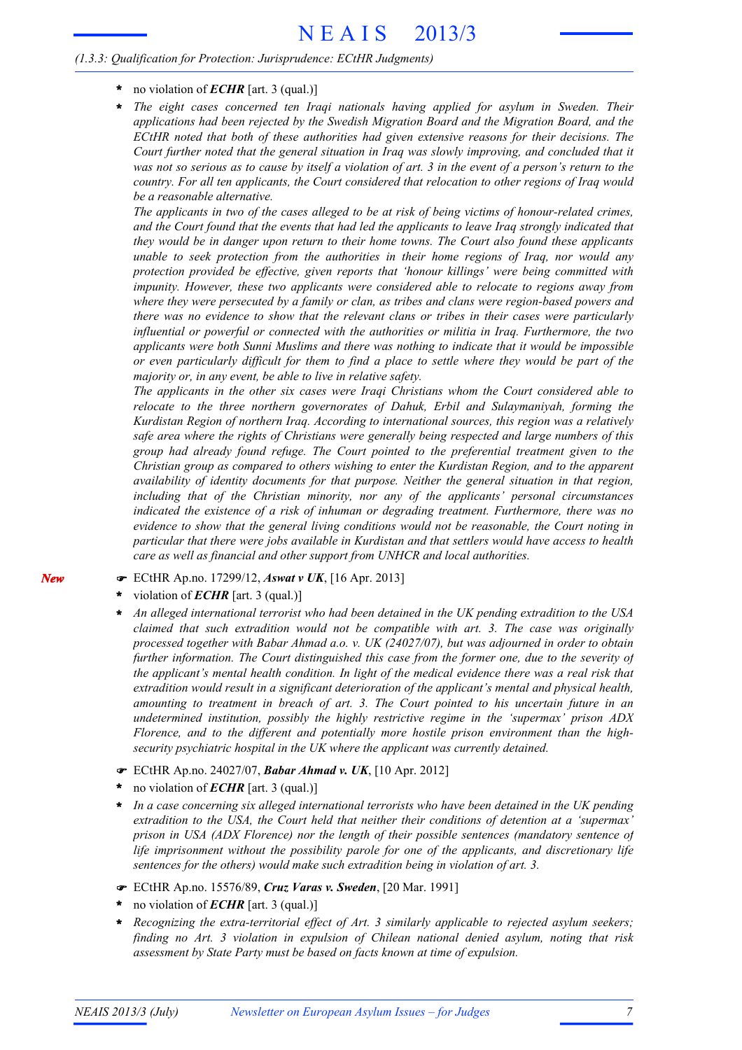- **\*** no violation of *ECHR* [art. 3 (qual.)]
- *The eight cases concerned ten Iraqi nationals having applied for asylum in Sweden. Their applications had been rejected by the Swedish Migration Board and the Migration Board, and the ECtHR noted that both of these authorities had given extensive reasons for their decisions. The Court further noted that the general situation in Iraq was slowly improving, and concluded that it* was not so serious as to cause by itself a violation of art. 3 in the event of a person's return to the *country. For all ten applicants, the Court considered that relocation to other regions of Iraq would be a reasonable alternative.* **\***

The applicants in two of the cases alleged to be at risk of being victims of honour-related crimes, and the Court found that the events that had led the applicants to leave Iraq strongly indicated that *they would be in danger upon return to their home towns. The Court also found these applicants unable to seek protection from the authorities in their home regions of Iraq, nor would any protection provided be effective, given reports that 'honour killings' were being committed with impunity. However, these two applicants were considered able to relocate to regions away from where they were persecuted by a family or clan, as tribes and clans were region-based powers and there was no evidence to show that the relevant clans or tribes in their cases were particularly influential or powerful or connected with the authorities or militia in Iraq. Furthermore, the two applicants were both Sunni Muslims and there was nothing to indicate that it would be impossible* or even particularly difficult for them to find a place to settle where they would be part of the *majority or, in any event, be able to live in relative safety.*

*The applicants in the other six cases were Iraqi Christians whom the Court considered able to relocate to the three northern governorates of Dahuk, Erbil and Sulaymaniyah, forming the Kurdistan Region of northern Iraq. According to international sources, this region was a relatively safe area where the rights of Christians were generally being respected and large numbers of this group had already found refuge. The Court pointed to the preferential treatment given to the Christian group as compared to others wishing to enter the Kurdistan Region, and to the apparent availability of identity documents for that purpose. Neither the general situation in that region, including that of the Christian minority, nor any of the applicants' personal circumstances indicated the existence of a risk of inhuman or degrading treatment. Furthermore, there was no evidence to show that the general living conditions would not be reasonable, the Court noting in particular that there were jobs available in Kurdistan and that settlers would have access to health care as well as financial and other support from UNHCR and local authorities.*

- ECtHR Ap.no. 17299/12, *Aswat v UK*, [16 Apr. 2013]
- violation of *ECHR* [art. 3 (qual.)] **\***
- *An alleged international terrorist who had been detained in the UK pending extradition to the USA claimed that such extradition would not be compatible with art. 3. The case was originally processed together with Babar Ahmad a.o. v. UK (24027/07), but was adjourned in order to obtain further information. The Court distinguished this case from the former one, due to the severity of the applicant's mental health condition. In light of the medical evidence there was a real risk that extradition would result in a significant deterioration of the applicant's mental and physical health, amounting to treatment in breach of art. 3. The Court pointed to his uncertain future in an undetermined institution, possibly the highly restrictive regime in the 'supermax' prison ADX Florence, and to the different and potentially more hostile prison environment than the highsecurity psychiatric hospital in the UK where the applicant was currently detained.* **\***
- ECtHR Ap.no. 24027/07, *Babar Ahmad v. UK*, [10 Apr. 2012]
- no violation of *ECHR* [art. 3 (qual.)] **\***
- *In a case concerning six alleged international terrorists who have been detained in the UK pending extradition to the USA, the Court held that neither their conditions of detention at a 'supermax' prison in USA (ADX Florence) nor the length of their possible sentences (mandatory sentence of life imprisonment without the possibility parole for one of the applicants, and discretionary life sentences for the others) would make such extradition being in violation of art. 3.* **\***
- ECtHR Ap.no. 15576/89, *Cruz Varas v. Sweden*, [20 Mar. 1991]
- no violation of *ECHR* [art. 3 (qual.)] **\***
- *Recognizing the extra-territorial effect of Art. 3 similarly applicable to rejected asylum seekers; finding no Art. 3 violation in expulsion of Chilean national denied asylum, noting that risk assessment by State Party must be based on facts known at time of expulsion.* **\***

*New*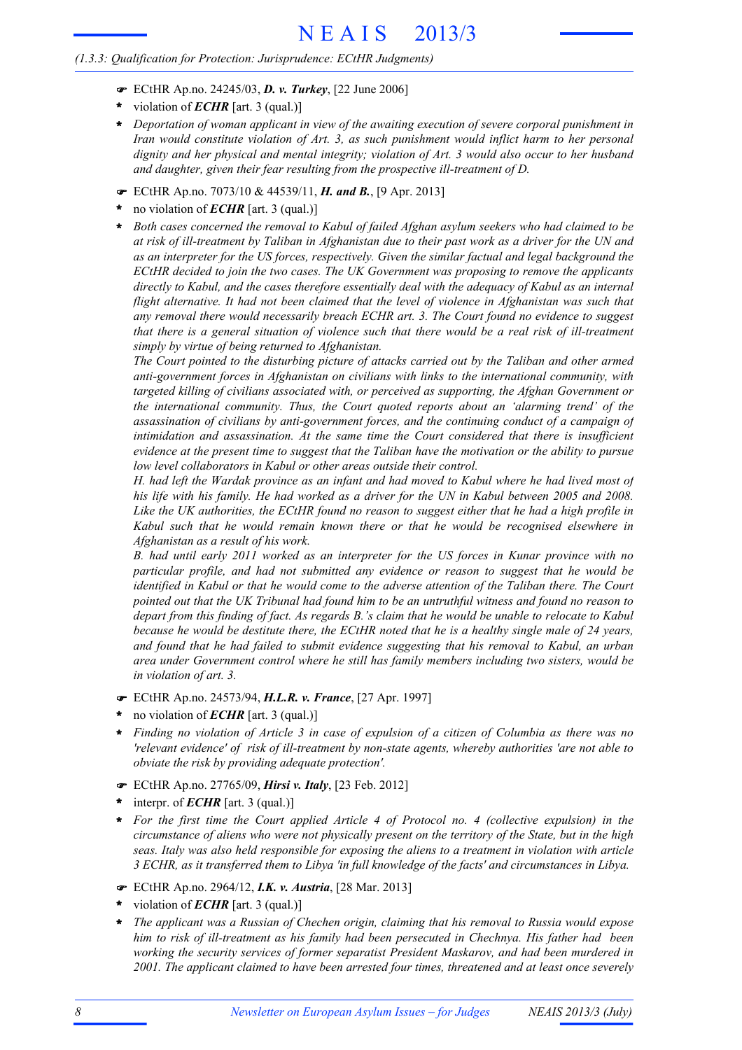- ECtHR Ap.no. 24245/03, *D. v. Turkey*, [22 June 2006]
- violation of *ECHR* [art. 3 (qual.)] **\***
- *Deportation of woman applicant in view of the awaiting execution of severe corporal punishment in* **\*** *Iran would constitute violation of Art. 3, as such punishment would inflict harm to her personal dignity and her physical and mental integrity; violation of Art. 3 would also occur to her husband and daughter, given their fear resulting from the prospective ill-treatment of D.*
- ECtHR Ap.no. 7073/10 & 44539/11, *H. and B.*, [9 Apr. 2013]
- no violation of *ECHR* [art. 3 (qual.)] **\***
- *Both cases concerned the removal to Kabul of failed Afghan asylum seekers who had claimed to be* at risk of ill-treatment by Taliban in Afghanistan due to their past work as a driver for the UN and *as an interpreter for the US forces, respectively. Given the similar factual and legal background the ECtHR decided to join the two cases. The UK Government was proposing to remove the applicants directly to Kabul, and the cases therefore essentially deal with the adequacy of Kabul as an internal flight alternative. It had not been claimed that the level of violence in Afghanistan was such that any removal there would necessarily breach ECHR art. 3. The Court found no evidence to suggest* that there is a general situation of violence such that there would be a real risk of ill-treatment *simply by virtue of being returned to Afghanistan.* **\***

*The Court pointed to the disturbing picture of attacks carried out by the Taliban and other armed anti-government forces in Afghanistan on civilians with links to the international community, with targeted killing of civilians associated with, or perceived as supporting, the Afghan Government or the international community. Thus, the Court quoted reports about an 'alarming trend' of the assassination of civilians by anti-government forces, and the continuing conduct of a campaign of intimidation and assassination. At the same time the Court considered that there is insufficient* evidence at the present time to suggest that the Taliban have the motivation or the ability to pursue *low level collaborators in Kabul or other areas outside their control.*

H, had left the Wardak province as an infant and had moved to Kabul where he had lived most of his life with his family. He had worked as a driver for the UN in Kabul between 2005 and 2008. Like the UK authorities, the ECtHR found no reason to suggest either that he had a high profile in *Kabul such that he would remain known there or that he would be recognised elsewhere in Afghanistan as a result of his work.*

*B. had until early 2011 worked as an interpreter for the US forces in Kunar province with no particular profile, and had not submitted any evidence or reason to suggest that he would be identified in Kabul or that he would come to the adverse attention of the Taliban there. The Court* pointed out that the UK Tribunal had found him to be an untruthful witness and found no reason to depart from this finding of fact. As regards B.'s claim that he would be unable to relocate to Kabul because he would be destitute there, the ECtHR noted that he is a healthy single male of 24 years, *and found that he had failed to submit evidence suggesting that his removal to Kabul, an urban area under Government control where he still has family members including two sisters, would be in violation of art. 3.*

- ECtHR Ap.no. 24573/94, *H.L.R. v. France*, [27 Apr. 1997]
- no violation of *ECHR* [art. 3 (qual.)] **\***
- Finding no violation of Article 3 in case of expulsion of a citizen of Columbia as there was no *'relevant evidence' of risk of ill-treatment by non-state agents, whereby authorities 'are not able to obviate the risk by providing adequate protection'.* **\***
- ECtHR Ap.no. 27765/09, *Hirsi v. Italy*, [23 Feb. 2012]
- interpr. of *ECHR* [art. 3 (qual.)] **\***
- *For the first time the Court applied Article 4 of Protocol no. 4 (collective expulsion) in the* **\*** circumstance of aliens who were not physically present on the territory of the State, but in the high *seas. Italy was also held responsible for exposing the aliens to a treatment in violation with article 3 ECHR, as it transferred them to Libya 'in full knowledge of the facts' and circumstances in Libya.*
- ECtHR Ap.no. 2964/12, *I.K. v. Austria*, [28 Mar. 2013]
- violation of *ECHR* [art. 3 (qual.)] **\***
- *The applicant was a Russian of Chechen origin, claiming that his removal to Russia would expose him to risk of ill-treatment as his family had been persecuted in Chechnya. His father had been working the security services of former separatist President Maskarov, and had been murdered in 2001. The applicant claimed to have been arrested four times, threatened and at least once severely* **\***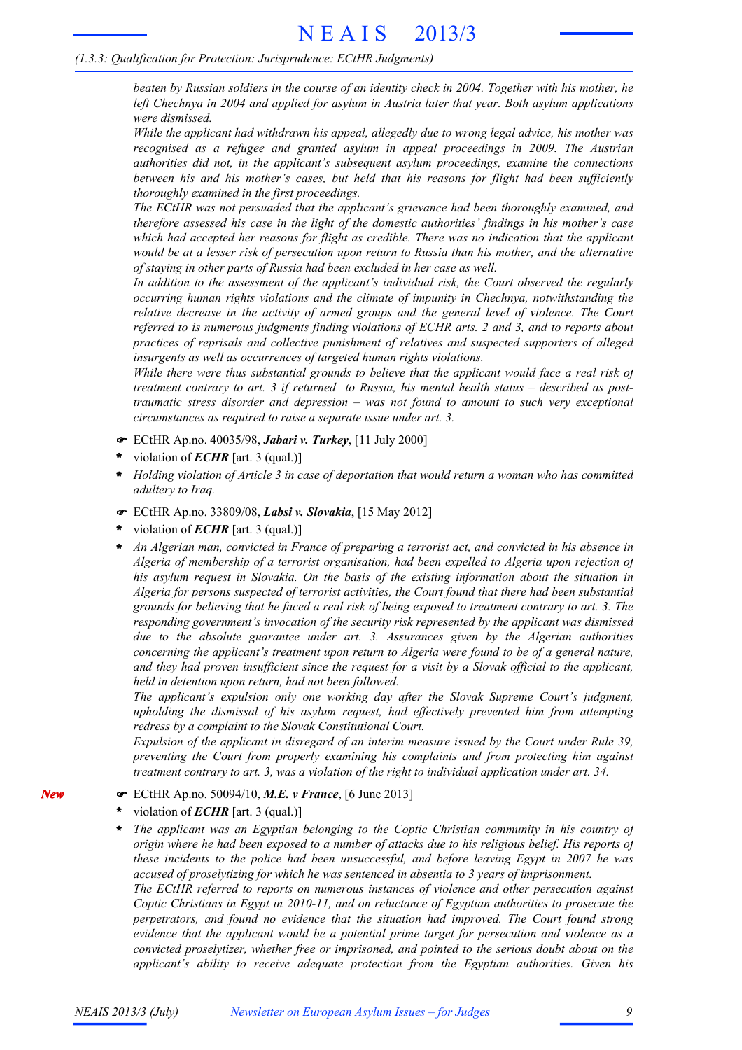beaten by Russian soldiers in the course of an identity check in 2004. Together with his mother, he *left Chechnya in 2004 and applied for asylum in Austria later that year. Both asylum applications were dismissed.*

*While the applicant had withdrawn his appeal, allegedly due to wrong legal advice, his mother was recognised as a refugee and granted asylum in appeal proceedings in 2009. The Austrian authorities did not, in the applicant's subsequent asylum proceedings, examine the connections between his and his mother's cases, but held that his reasons for flight had been sufficiently thoroughly examined in the first proceedings.*

*The ECtHR was not persuaded that the applicant's grievance had been thoroughly examined, and therefore assessed his case in the light of the domestic authorities' findings in his mother's case which had accepted her reasons for flight as credible. There was no indication that the applicant* would be at a lesser risk of persecution upon return to Russia than his mother, and the alternative *of staying in other parts of Russia had been excluded in her case as well.*

*In addition to the assessment of the applicant's individual risk, the Court observed the regularly occurring human rights violations and the climate of impunity in Chechnya, notwithstanding the relative decrease in the activity of armed groups and the general level of violence. The Court referred to is numerous judgments finding violations of ECHR arts. 2 and 3, and to reports about practices of reprisals and collective punishment of relatives and suspected supporters of alleged insurgents as well as occurrences of targeted human rights violations.*

*While there were thus substantial grounds to believe that the applicant would face a real risk of treatment contrary to art. 3 if returned to Russia, his mental health status – described as posttraumatic stress disorder and depression – was not found to amount to such very exceptional circumstances as required to raise a separate issue under art. 3.*

- ECtHR Ap.no. 40035/98, *Jabari v. Turkey*, [11 July 2000]
- violation of *ECHR* [art. 3 (qual.)] **\***
- *Holding violation of Article 3 in case of deportation that would return a woman who has committed adultery to Iraq.* **\***
- ECtHR Ap.no. 33809/08, *Labsi v. Slovakia*, [15 May 2012]
- violation of *ECHR* [art. 3 (qual.)] **\***
- *An Algerian man, convicted in France of preparing a terrorist act, and convicted in his absence in Algeria of membership of a terrorist organisation, had been expelled to Algeria upon rejection of his asylum request in Slovakia. On the basis of the existing information about the situation in Algeria for persons suspected of terrorist activities, the Court found that there had been substantial* grounds for believing that he faced a real risk of being exposed to treatment contrary to art. 3. The *responding government's invocation of the security risk represented by the applicant was dismissed due to the absolute guarantee under art. 3. Assurances given by the Algerian authorities concerning the applicant's treatment upon return to Algeria were found to be of a general nature,* and they had proven insufficient since the request for a visit by a Slovak official to the applicant, *held in detention upon return, had not been followed.* **\***

*The applicant's expulsion only one working day after the Slovak Supreme Court's judgment, upholding the dismissal of his asylum request, had effectively prevented him from attempting redress by a complaint to the Slovak Constitutional Court.*

*Expulsion of the applicant in disregard of an interim measure issued by the Court under Rule 39, preventing the Court from properly examining his complaints and from protecting him against treatment contrary to art. 3, was a violation of the right to individual application under art. 34.*

- ECtHR Ap.no. 50094/10, *M.E. v France*, [6 June 2013]
- violation of *ECHR* [art. 3 (qual.)] **\***
- *The applicant was an Egyptian belonging to the Coptic Christian community in his country of* origin where he had been exposed to a number of attacks due to his religious belief. His reports of *these incidents to the police had been unsuccessful, and before leaving Egypt in 2007 he was accused of proselytizing for which he was sentenced in absentia to 3 years of imprisonment.* **\***

*The ECtHR referred to reports on numerous instances of violence and other persecution against Coptic Christians in Egypt in 2010-11, and on reluctance of Egyptian authorities to prosecute the perpetrators, and found no evidence that the situation had improved. The Court found strong evidence that the applicant would be a potential prime target for persecution and violence as a convicted proselytizer, whether free or imprisoned, and pointed to the serious doubt about on the applicant's ability to receive adequate protection from the Egyptian authorities. Given his*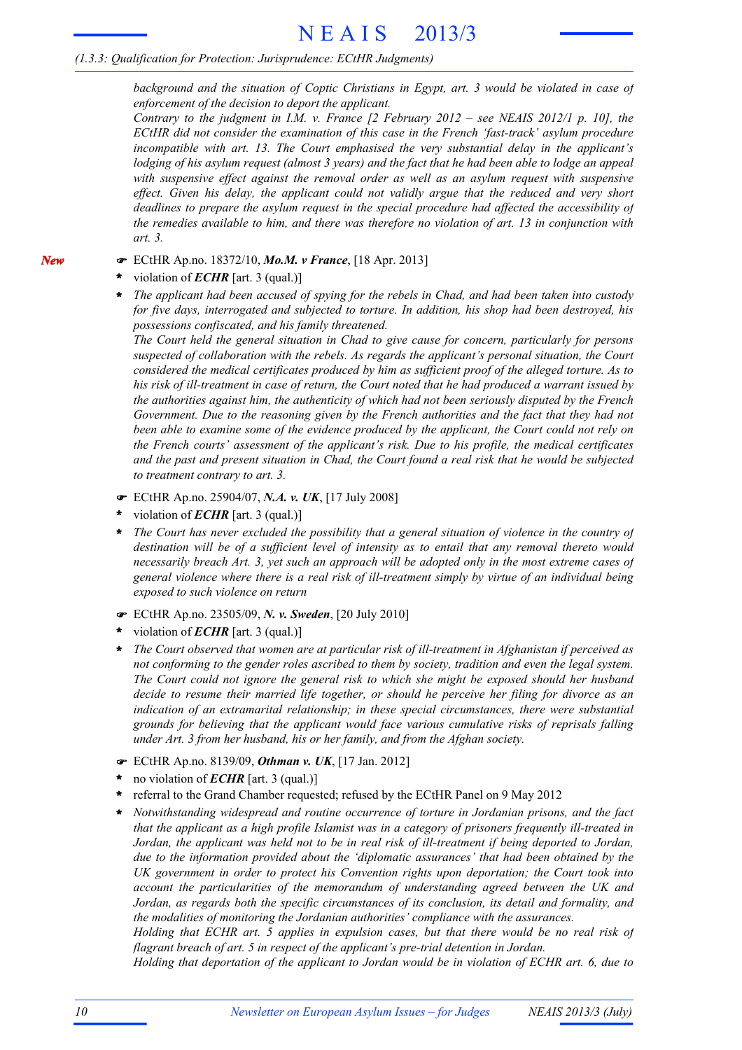*background and the situation of Coptic Christians in Egypt, art. 3 would be violated in case of enforcement of the decision to deport the applicant.*

*Contrary to the judgment in I.M. v. France [2 February 2012 – see NEAIS 2012/1 p. 10], the ECtHR did not consider the examination of this case in the French 'fast-track' asylum procedure incompatible with art. 13. The Court emphasised the very substantial delay in the applicant's* lodging of his asylum request (almost 3 years) and the fact that he had been able to lodge an appeal *with suspensive effect against the removal order as well as an asylum request with suspensive effect. Given his delay, the applicant could not validly argue that the reduced and very short deadlines to prepare the asylum request in the special procedure had affected the accessibility of the remedies available to him, and there was therefore no violation of art. 13 in conjunction with art. 3.*

ECtHR Ap.no. 18372/10, *Mo.M. v France*, [18 Apr. 2013]

violation of *ECHR* [art. 3 (qual.)] **\***

*New*

*The applicant had been accused of spying for the rebels in Chad, and had been taken into custody for five days, interrogated and subjected to torture. In addition, his shop had been destroyed, his possessions confiscated, and his family threatened.* **\***

*The Court held the general situation in Chad to give cause for concern, particularly for persons suspected of collaboration with the rebels. As regards the applicant's personal situation, the Court considered the medical certificates produced by him as sufficient proof of the alleged torture. As to* his risk of ill-treatment in case of return, the Court noted that he had produced a warrant issued by *the authorities against him, the authenticity of which had not been seriously disputed by the French Government. Due to the reasoning given by the French authorities and the fact that they had not been able to examine some of the evidence produced by the applicant, the Court could not rely on the French courts' assessment of the applicant's risk. Due to his profile, the medical certificates* and the past and present situation in Chad, the Court found a real risk that he would be subjected *to treatment contrary to art. 3.*

- ECtHR Ap.no. 25904/07, *N.A. v. UK*, [17 July 2008]
- violation of *ECHR* [art. 3 (qual.)] **\***
- *The Court has never excluded the possibility that a general situation of violence in the country of destination will be of a sufficient level of intensity as to entail that any removal thereto would necessarily breach Art. 3, yet such an approach will be adopted only in the most extreme cases of general violence where there is a real risk of ill-treatment simply by virtue of an individual being exposed to such violence on return* **\***
- ECtHR Ap.no. 23505/09, *N. v. Sweden*, [20 July 2010]
- violation of *ECHR* [art. 3 (qual.)] **\***
- *The Court observed that women are at particular risk of ill-treatment in Afghanistan if perceived as not conforming to the gender roles ascribed to them by society, tradition and even the legal system. The Court could not ignore the general risk to which she might be exposed should her husband decide to resume their married life together, or should he perceive her filing for divorce as an indication of an extramarital relationship; in these special circumstances, there were substantial grounds for believing that the applicant would face various cumulative risks of reprisals falling under Art. 3 from her husband, his or her family, and from the Afghan society.* **\***
- ECtHR Ap.no. 8139/09, *Othman v. UK*, [17 Jan. 2012]
- no violation of *ECHR* [art. 3 (qual.)] **\***
- referral to the Grand Chamber requested; refused by the ECtHR Panel on 9 May 2012 **\***
- *Notwithstanding widespread and routine occurrence of torture in Jordanian prisons, and the fact that the applicant as a high profile Islamist was in a category of prisoners frequently ill-treated in* Jordan, the applicant was held not to be in real risk of ill-treatment if being deported to Jordan, *due to the information provided about the 'diplomatic assurances' that had been obtained by the UK government in order to protect his Convention rights upon deportation; the Court took into account the particularities of the memorandum of understanding agreed between the UK and Jordan, as regards both the specific circumstances of its conclusion, its detail and formality, and the modalities of monitoring the Jordanian authorities' compliance with the assurances.* **\***

*Holding that ECHR art. 5 applies in expulsion cases, but that there would be no real risk of flagrant breach of art. 5 in respect of the applicant's pre-trial detention in Jordan.*

*Holding that deportation of the applicant to Jordan would be in violation of ECHR art. 6, due to*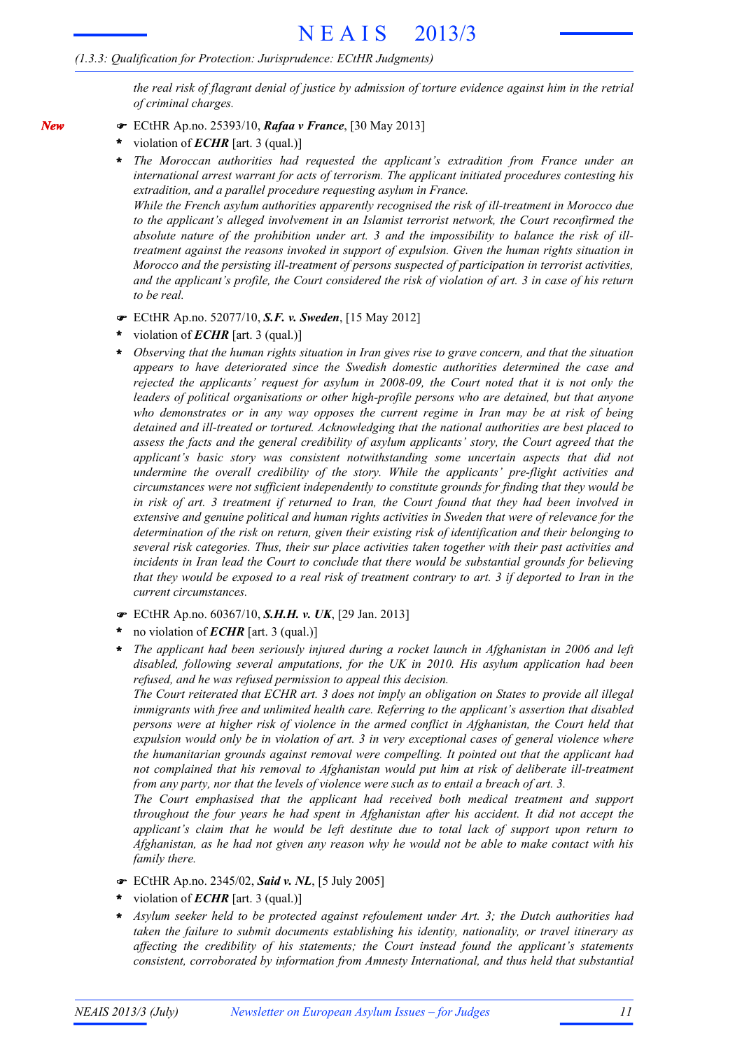the real risk of flagrant denial of justice by admission of torture evidence against him in the retrial *of criminal charges.*

- ECtHR Ap.no. 25393/10, *Rafaa v France*, [30 May 2013]
- violation of *ECHR* [art. 3 (qual.)] **\***

*New*

*The Moroccan authorities had requested the applicant's extradition from France under an international arrest warrant for acts of terrorism. The applicant initiated procedures contesting his extradition, and a parallel procedure requesting asylum in France.* **\***

*While the French asylum authorities apparently recognised the risk of ill-treatment in Morocco due to the applicant's alleged involvement in an Islamist terrorist network, the Court reconfirmed the absolute nature of the prohibition under art. 3 and the impossibility to balance the risk of illtreatment against the reasons invoked in support of expulsion. Given the human rights situation in Morocco and the persisting ill-treatment of persons suspected of participation in terrorist activities,* and the applicant's profile, the Court considered the risk of violation of art. 3 in case of his return *to be real.*

- ECtHR Ap.no. 52077/10, *S.F. v. Sweden*, [15 May 2012]
- violation of *ECHR* [art. 3 (qual.)] **\***
- *Observing that the human rights situation in Iran gives rise to grave concern, and that the situation appears to have deteriorated since the Swedish domestic authorities determined the case and rejected the applicants' request for asylum in 2008-09, the Court noted that it is not only the leaders of political organisations or other high-profile persons who are detained, but that anyone who demonstrates or in any way opposes the current regime in Iran may be at risk of being detained and ill-treated or tortured. Acknowledging that the national authorities are best placed to assess the facts and the general credibility of asylum applicants' story, the Court agreed that the applicant's basic story was consistent notwithstanding some uncertain aspects that did not undermine the overall credibility of the story. While the applicants' pre-flight activities and circumstances were not sufficient independently to constitute grounds for finding that they would be* in risk of art. 3 treatment if returned to Iran, the Court found that they had been involved in *extensive and genuine political and human rights activities in Sweden that were of relevance for the determination of the risk on return, given their existing risk of identification and their belonging to several risk categories. Thus, their sur place activities taken together with their past activities and incidents in Iran lead the Court to conclude that there would be substantial grounds for believing* that they would be exposed to a real risk of treatment contrary to art. 3 if deported to Iran in the *current circumstances.* **\***
- ECtHR Ap.no. 60367/10, *S.H.H. v. UK*, [29 Jan. 2013]
- no violation of *ECHR* [art. 3 (qual.)] **\***
- *The applicant had been seriously injured during a rocket launch in Afghanistan in 2006 and left disabled, following several amputations, for the UK in 2010. His asylum application had been refused, and he was refused permission to appeal this decision.* **\***

The Court reiterated that ECHR art. 3 does not imply an obligation on States to provide all illegal *immigrants with free and unlimited health care. Referring to the applicant's assertion that disabled persons were at higher risk of violence in the armed conflict in Afghanistan, the Court held that expulsion would only be in violation of art. 3 in very exceptional cases of general violence where the humanitarian grounds against removal were compelling. It pointed out that the applicant had not complained that his removal to Afghanistan would put him at risk of deliberate ill-treatment from any party, nor that the levels of violence were such as to entail a breach of art. 3.*

*The Court emphasised that the applicant had received both medical treatment and support throughout the four years he had spent in Afghanistan after his accident. It did not accept the applicant's claim that he would be left destitute due to total lack of support upon return to* Afghanistan, as he had not given any reason why he would not be able to make contact with his *family there.*

- ECtHR Ap.no. 2345/02, *Said v. NL*, [5 July 2005]
- violation of *ECHR* [art. 3 (qual.)] **\***
- *Asylum seeker held to be protected against refoulement under Art. 3; the Dutch authorities had taken the failure to submit documents establishing his identity, nationality, or travel itinerary as affecting the credibility of his statements; the Court instead found the applicant's statements consistent, corroborated by information from Amnesty International, and thus held that substantial* **\***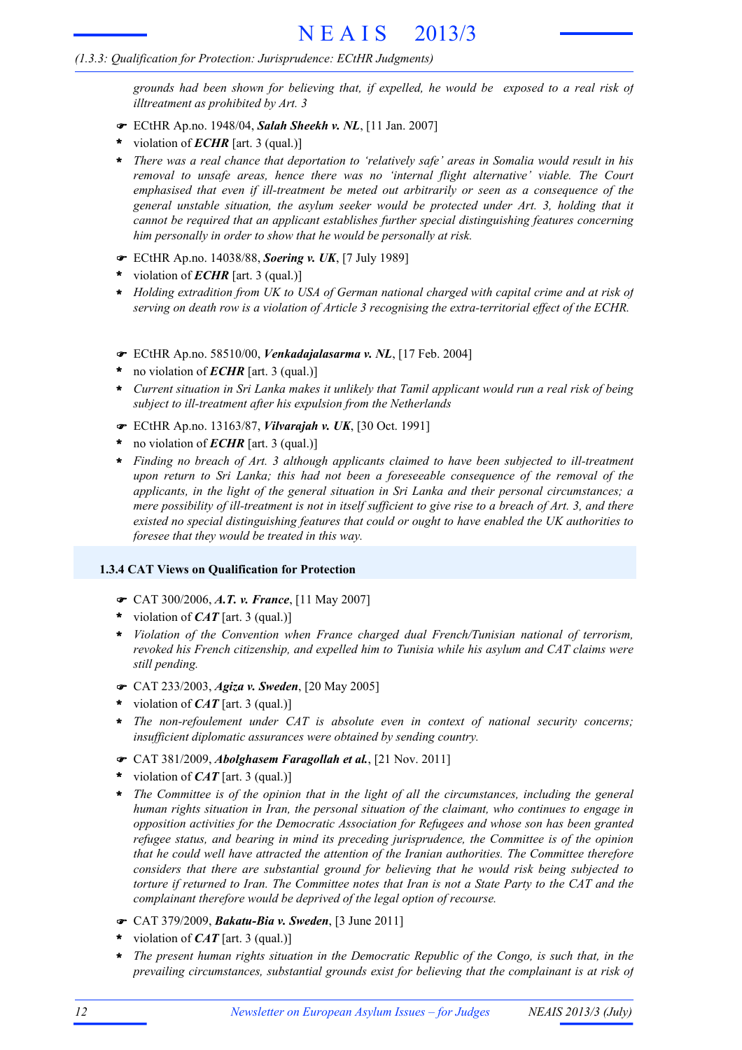*grounds had been shown for believing that, if expelled, he would be exposed to a real risk of illtreatment as prohibited by Art. 3*

- ECtHR Ap.no. 1948/04, *Salah Sheekh v. NL*, [11 Jan. 2007]
- violation of *ECHR* [art. 3 (qual.)] **\***
- *There was a real chance that deportation to 'relatively safe' areas in Somalia would result in his removal to unsafe areas, hence there was no 'internal flight alternative' viable. The Court emphasised that even if ill-treatment be meted out arbitrarily or seen as a consequence of the general unstable situation, the asylum seeker would be protected under Art. 3, holding that it cannot be required that an applicant establishes further special distinguishing features concerning him personally in order to show that he would be personally at risk.* **\***
- ECtHR Ap.no. 14038/88, *Soering v. UK*, [7 July 1989]
- violation of *ECHR* [art. 3 (qual.)] **\***
- *Holding extradition from UK to USA of German national charged with capital crime and at risk of* **\*** *serving on death row is a violation of Article 3 recognising the extra-territorial effect of the ECHR.*
- ECtHR Ap.no. 58510/00, *Venkadajalasarma v. NL*, [17 Feb. 2004]
- no violation of *ECHR* [art. 3 (qual.)] **\***
- Current situation in Sri Lanka makes it unlikely that Tamil applicant would run a real risk of being *subject to ill-treatment after his expulsion from the Netherlands* **\***
- ECtHR Ap.no. 13163/87, *Vilvarajah v. UK*, [30 Oct. 1991]
- no violation of *ECHR* [art. 3 (qual.)] **\***
- *Finding no breach of Art. 3 although applicants claimed to have been subjected to ill-treatment* **\*** *upon return to Sri Lanka; this had not been a foreseeable consequence of the removal of the applicants, in the light of the general situation in Sri Lanka and their personal circumstances; a* mere possibility of ill-treatment is not in itself sufficient to give rise to a breach of Art. 3, and there *existed no special distinguishing features that could or ought to have enabled the UK authorities to foresee that they would be treated in this way.*

### **1.3.4 CAT Views on Qualification for Protection**

- CAT 300/2006, *A.T. v. France*, [11 May 2007]
- violation of *CAT* [art. 3 (qual.)] **\***
- *Violation of the Convention when France charged dual French/Tunisian national of terrorism,* **\*** *revoked his French citizenship, and expelled him to Tunisia while his asylum and CAT claims were still pending.*
- CAT 233/2003, *Agiza v. Sweden*, [20 May 2005]
- violation of *CAT* [art. 3 (qual.)] **\***
- *The non-refoulement under CAT is absolute even in context of national security concerns;* **\*** *insufficient diplomatic assurances were obtained by sending country.*
- CAT 381/2009, *Abolghasem Faragollah et al.*, [21 Nov. 2011]
- violation of *CAT* [art. 3 (qual.)] **\***
- \* The Committee is of the opinion that in the light of all the circumstances, including the general *human rights situation in Iran, the personal situation of the claimant, who continues to engage in opposition activities for the Democratic Association for Refugees and whose son has been granted refugee status, and bearing in mind its preceding jurisprudence, the Committee is of the opinion that he could well have attracted the attention of the Iranian authorities. The Committee therefore considers that there are substantial ground for believing that he would risk being subjected to* torture if returned to Iran. The Committee notes that Iran is not a State Party to the CAT and the *complainant therefore would be deprived of the legal option of recourse.*
- CAT 379/2009, *Bakatu-Bia v. Sweden*, [3 June 2011]
- violation of *CAT* [art. 3 (qual.)] **\***
- *The present human rights situation in the Democratic Republic of the Congo, is such that, in the prevailing circumstances, substantial grounds exist for believing that the complainant is at risk of* **\***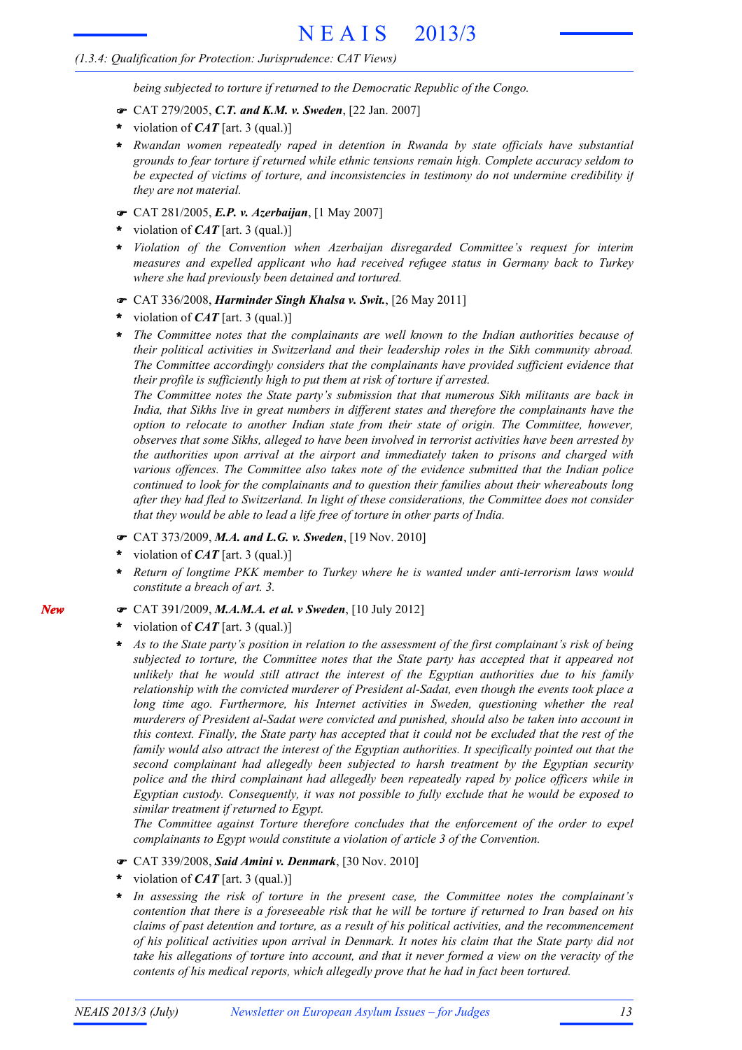### *(1.3.4: Qualification for Protection: Jurisprudence: CAT Views)*

*being subjected to torture if returned to the Democratic Republic of the Congo.*

- CAT 279/2005, *C.T. and K.M. v. Sweden*, [22 Jan. 2007]
- violation of *CAT* [art. 3 (qual.)] **\***
- *Rwandan women repeatedly raped in detention in Rwanda by state officials have substantial* **\*** *grounds to fear torture if returned while ethnic tensions remain high. Complete accuracy seldom to be expected of victims of torture, and inconsistencies in testimony do not undermine credibility if they are not material.*
- CAT 281/2005, *E.P. v. Azerbaijan*, [1 May 2007]
- violation of *CAT* [art. 3 (qual.)] **\***
- *Violation of the Convention when Azerbaijan disregarded Committee's request for interim measures and expelled applicant who had received refugee status in Germany back to Turkey where she had previously been detained and tortured.* **\***
- CAT 336/2008, *Harminder Singh Khalsa v. Swit.*, [26 May 2011]
- violation of *CAT* [art. 3 (qual.)] **\***
- *The Committee notes that the complainants are well known to the Indian authorities because of their political activities in Switzerland and their leadership roles in the Sikh community abroad. The Committee accordingly considers that the complainants have provided sufficient evidence that their profile is sufficiently high to put them at risk of torture if arrested.* **\***

*The Committee notes the State party's submission that that numerous Sikh militants are back in India, that Sikhs live in great numbers in different states and therefore the complainants have the option to relocate to another Indian state from their state of origin. The Committee, however, observes that some Sikhs, alleged to have been involved in terrorist activities have been arrested by the authorities upon arrival at the airport and immediately taken to prisons and charged with various offences. The Committee also takes note of the evidence submitted that the Indian police continued to look for the complainants and to question their families about their whereabouts long after they had fled to Switzerland. In light of these considerations, the Committee does not consider that they would be able to lead a life free of torture in other parts of India.*

- CAT 373/2009, *M.A. and L.G. v. Sweden*, [19 Nov. 2010]
- violation of *CAT* [art. 3 (qual.)] **\***
- *Return of longtime PKK member to Turkey where he is wanted under anti-terrorism laws would constitute a breach of art. 3.* **\***
- CAT 391/2009, *M.A.M.A. et al. v Sweden*, [10 July 2012]
- violation of *CAT* [art. 3 (qual.)] **\***
- As to the State party's position in relation to the assessment of the first complainant's risk of being *subjected to torture, the Committee notes that the State party has accepted that it appeared not unlikely that he would still attract the interest of the Egyptian authorities due to his family relationship with the convicted murderer of President al-Sadat, even though the events took place a long time ago. Furthermore, his Internet activities in Sweden, questioning whether the real murderers of President al-Sadat were convicted and punished, should also be taken into account in* this context. Finally, the State party has accepted that it could not be excluded that the rest of the *family would also attract the interest of the Egyptian authorities. It specifically pointed out that the second complainant had allegedly been subjected to harsh treatment by the Egyptian security police and the third complainant had allegedly been repeatedly raped by police officers while in Egyptian custody. Consequently, it was not possible to fully exclude that he would be exposed to similar treatment if returned to Egypt.* **\***

*The Committee against Torture therefore concludes that the enforcement of the order to expel complainants to Egypt would constitute a violation of article 3 of the Convention.*

- CAT 339/2008, *Said Amini v. Denmark*, [30 Nov. 2010]
- violation of *CAT* [art. 3 (qual.)] **\***
- *In assessing the risk of torture in the present case, the Committee notes the complainant's* contention that there is a foreseeable risk that he will be torture if returned to Iran based on his *claims of past detention and torture, as a result of his political activities, and the recommencement* of his political activities upon arrival in Denmark. It notes his claim that the State party did not take his allegations of torture into account, and that it never formed a view on the veracity of the *contents of his medical reports, which allegedly prove that he had in fact been tortured.* **\***

*New*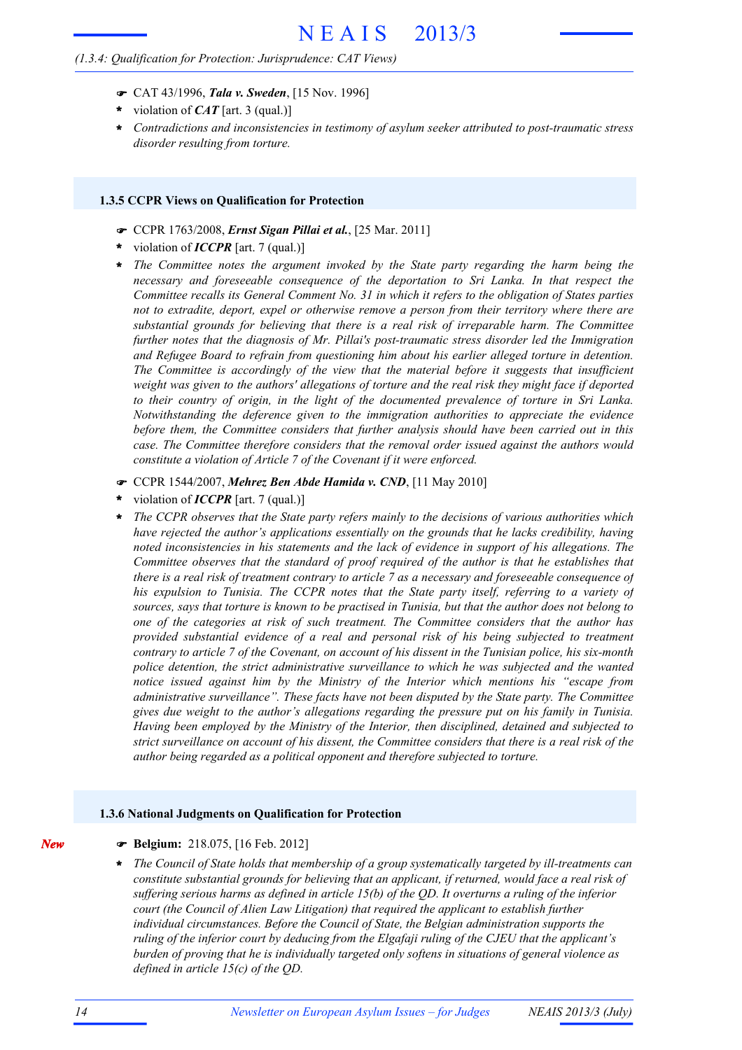#### *(1.3.4: Qualification for Protection: Jurisprudence: CAT Views)*

- CAT 43/1996, *Tala v. Sweden*, [15 Nov. 1996]
- violation of *CAT* [art. 3 (qual.)] **\***
- *Contradictions and inconsistencies in testimony of asylum seeker attributed to post-traumatic stress disorder resulting from torture.* **\***

#### **1.3.5 CCPR Views on Qualification for Protection**

- CCPR 1763/2008, *Ernst Sigan Pillai et al.*, [25 Mar. 2011]
- violation of *ICCPR* [art. 7 (qual.)] **\***
- *The Committee notes the argument invoked by the State party regarding the harm being the* **\*** *necessary and foreseeable consequence of the deportation to Sri Lanka. In that respect the Committee recalls its General Comment No. 31 in which it refers to the obligation of States parties not to extradite, deport, expel or otherwise remove a person from their territory where there are substantial grounds for believing that there is a real risk of irreparable harm. The Committee further notes that the diagnosis of Mr. Pillai's post-traumatic stress disorder led the Immigration and Refugee Board to refrain from questioning him about his earlier alleged torture in detention. The Committee is accordingly of the view that the material before it suggests that insufficient* weight was given to the authors' allegations of torture and the real risk they might face if deported *to their country of origin, in the light of the documented prevalence of torture in Sri Lanka. Notwithstanding the deference given to the immigration authorities to appreciate the evidence before them, the Committee considers that further analysis should have been carried out in this case. The Committee therefore considers that the removal order issued against the authors would constitute a violation of Article 7 of the Covenant if it were enforced.*
- CCPR 1544/2007, *Mehrez Ben Abde Hamida v. CND*, [11 May 2010]
- violation of *ICCPR* [art. 7 (qual.)] **\***
- *The CCPR observes that the State party refers mainly to the decisions of various authorities which have rejected the author's applications essentially on the grounds that he lacks credibility, having noted inconsistencies in his statements and the lack of evidence in support of his allegations. The Committee observes that the standard of proof required of the author is that he establishes that* there is a real risk of treatment contrary to article 7 as a necessary and foreseeable consequence of *his expulsion to Tunisia. The CCPR notes that the State party itself, referring to a variety of* sources, says that torture is known to be practised in Tunisia, but that the author does not belong to *one of the categories at risk of such treatment. The Committee considers that the author has provided substantial evidence of a real and personal risk of his being subjected to treatment* contrary to article 7 of the Covenant, on account of his dissent in the Tunisian police, his six-month *police detention, the strict administrative surveillance to which he was subjected and the wanted notice issued against him by the Ministry of the Interior which mentions his "escape from administrative surveillance". These facts have not been disputed by the State party. The Committee gives due weight to the author's allegations regarding the pressure put on his family in Tunisia. Having been employed by the Ministry of the Interior, then disciplined, detained and subjected to* strict surveillance on account of his dissent, the Committee considers that there is a real risk of the *author being regarded as a political opponent and therefore subjected to torture.* **\***

#### **1.3.6 National Judgments on Qualification for Protection**

- *New*
- **Belgium:** 218.075, [16 Feb. 2012]
- *The Council of State holds that membership of a group systematically targeted by ill-treatments can constitute substantial grounds for believing that an applicant, if returned, would face a real risk of suffering serious harms as defined in article 15(b) of the QD. It overturns a ruling of the inferior court (the Council of Alien Law Litigation) that required the applicant to establish further individual circumstances. Before the Council of State, the Belgian administration supports the ruling of the inferior court by deducing from the Elgafaji ruling of the CJEU that the applicant's burden of proving that he is individually targeted only softens in situations of general violence as defined in article 15(c) of the QD.* **\***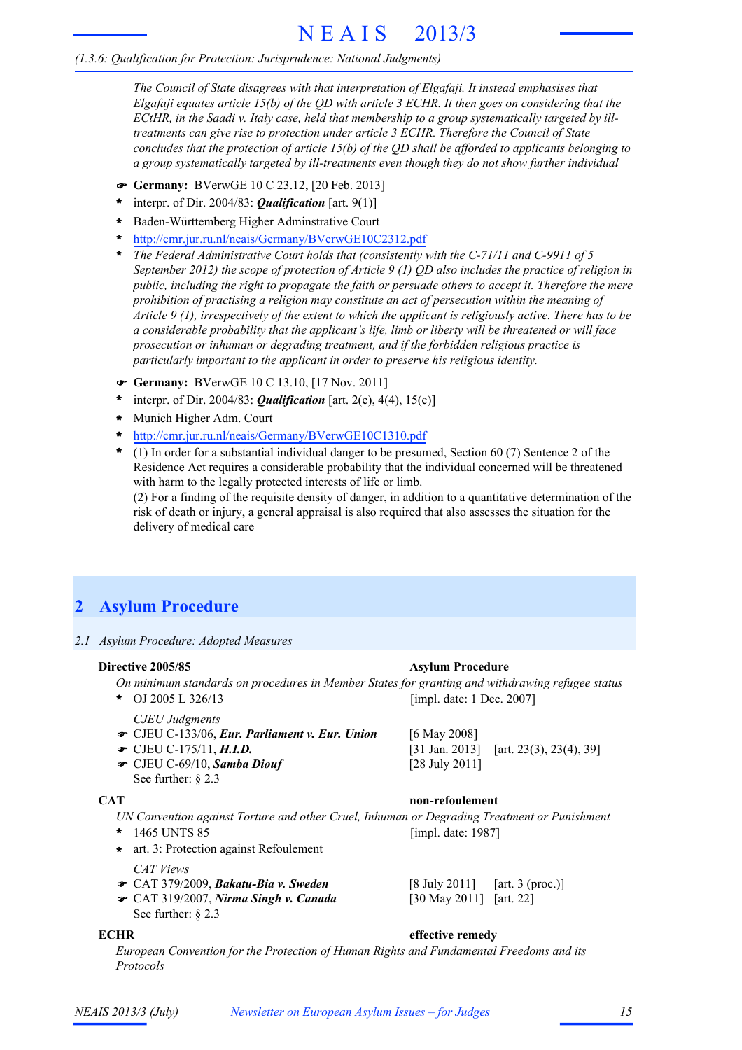# N E A I S 2013/3

### *(1.3.6: Qualification for Protection: Jurisprudence: National Judgments)*

*The Council of State disagrees with that interpretation of Elgafaji. It instead emphasises that Elgafaji equates article 15(b) of the QD with article 3 ECHR. It then goes on considering that the ECtHR, in the Saadi v. Italy case, held that membership to a group systematically targeted by illtreatments can give rise to protection under article 3 ECHR. Therefore the Council of State concludes that the protection of article 15(b) of the QD shall be afforded to applicants belonging to a group systematically targeted by ill-treatments even though they do not show further individual*

- **Germany:** BVerwGE 10 C 23.12, [20 Feb. 2013]
- interpr. of Dir. 2004/83: *Qualification* [art. 9(1)] **\***
- Baden-Württemberg Higher Adminstrative Court **\***
- http://cmr.jur.ru.nl/neais/Germany/BVerwGE10C2312.pdf **\***
- *The Federal Administrative Court holds that (consistently with the C-71/11 and C-9911 of 5* **\*** *September 2012) the scope of protection of Article 9 (1) QD also includes the practice of religion in public, including the right to propagate the faith or persuade others to accept it. Therefore the mere prohibition of practising a religion may constitute an act of persecution within the meaning of Article 9 (1), irrespectively of the extent to which the applicant is religiously active. There has to be a considerable probability that the applicant's life, limb or liberty will be threatened or will face prosecution or inhuman or degrading treatment, and if the forbidden religious practice is particularly important to the applicant in order to preserve his religious identity.*
- **Germany:** BVerwGE 10 C 13.10, [17 Nov. 2011]
- interpr. of Dir. 2004/83: *Qualification* [art. 2(e), 4(4), 15(c)] **\***
- Munich Higher Adm. Court **\***
- http://cmr.jur.ru.nl/neais/Germany/BVerwGE10C1310.pdf **\***
- (1) In order for a substantial individual danger to be presumed, Section 60 (7) Sentence 2 of the **\*** Residence Act requires a considerable probability that the individual concerned will be threatened with harm to the legally protected interests of life or limb.

(2) For a finding of the requisite density of danger, in addition to a quantitative determination of the risk of death or injury, a general appraisal is also required that also assesses the situation for the delivery of medical care

## **2 Asylum Procedure**

*2.1 Asylum Procedure: Adopted Measures*

### **Directive 2005/85 Asylum Procedure**

*On minimum standards on procedures in Member States for granting and withdrawing refugee status*

OJ 2005 L 326/13 **\***

- *CJEU Judgments*
- CJEU C-133/06, *Eur. Parliament v. Eur. Union* [6 May 2008]
- $\bullet$  CJEU C-175/11, H.I.D.
- CJEU C-69/10, *Samba Diouf* [28 July 2011] See further: § 2.3

### **CAT non-refoulement**

[impl. date: 1 Dec. 2007]

*UN Convention against Torture and other Cruel, Inhuman or Degrading Treatment or Punishment* 1465 UNTS 85 **\*** [impl. date: 1987]

**\*** art. 3: Protection against Refoulement

*CAT Views*

- CAT 379/2009, *Bakatu-Bia v. Sweden* [8 July 2011] [art. 3 (proc.)]
- CAT 319/2007, *Nirma Singh v. Canada* [30 May 2011] [art. 22] See further: § 2.3
- 

### **ECHR effective remedy**

*European Convention for the Protection of Human Rights and Fundamental Freedoms and its Protocols*

[31 Jan. 2013] [art. 23(3), 23(4), 39]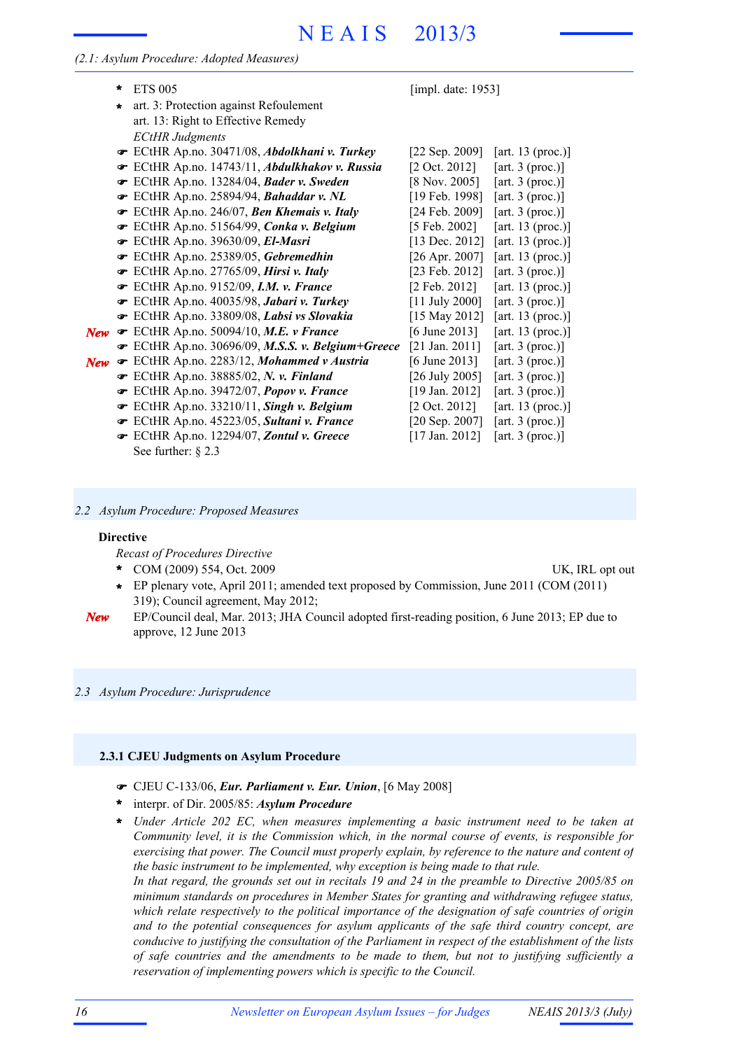# N E A I S 2013/3

*(2.1: Asylum Procedure: Adopted Measures)*

|            | $\ast$  | <b>ETS 005</b>                                  | [impl. date: 1953]        |                    |
|------------|---------|-------------------------------------------------|---------------------------|--------------------|
|            | $\star$ | art. 3: Protection against Refoulement          |                           |                    |
|            |         | art. 13: Right to Effective Remedy              |                           |                    |
|            |         | <b>ECtHR</b> Judgments                          |                           |                    |
|            |         | ECtHR Ap.no. 30471/08, Abdolkhani v. Turkey     | [22 Sep. 2009]            | [art. 13 (proc.)]  |
|            |         | ECtHR Ap.no. 14743/11, Abdulkhakov v. Russia    | $[2 \text{ Oct. } 2012]$  | [art. 3 (proc.)]   |
|            |         | ECtHR Ap.no. 13284/04, Bader v. Sweden          | $[8 \text{ Nov. } 2005]$  | [art. $3$ (proc.)] |
|            |         | ECtHR Ap.no. 25894/94, Bahaddar v. NL           | [19 Feb. 1998]            | [art. $3$ (proc.)] |
|            |         | ECtHR Ap.no. 246/07, Ben Khemais v. Italy       | [24 Feb. 2009]            | [art. 3 (proc.)]   |
|            |         | ECtHR Ap.no. 51564/99, Conka v. Belgium         | [5 Feb. 2002]             | [art. 13 (proc.)]  |
|            |         | ECtHR Ap.no. 39630/09, El-Masri                 | [13 Dec. 2012]            | [art. 13 (proc.)]  |
|            |         | ECtHR Ap.no. 25389/05, Gebremedhin              | [26 Apr. 2007]            | [art. 13 (proc.)]  |
|            |         | ECtHR Ap.no. 27765/09, Hirsi v. Italy           | [23 Feb. 2012]            | [art. 3 (proc.)]   |
|            |         | ECtHR Ap.no. 9152/09, <i>I.M. v. France</i>     | $[2 \text{ Feb. } 2012]$  | [art. 13 (proc.)]  |
|            |         | ECtHR Ap.no. 40035/98, Jabari v. Turkey         | $[11$ July 2000]          | [art. 3 (proc.)]   |
|            |         | ECtHR Ap.no. 33809/08, Labsi vs Slovakia        | [15 May 2012]             | [art. 13 (proc.)]  |
| <b>New</b> |         | ECtHR Ap.no. 50094/10, M.E. v France            | [6 June 2013]             | [art. 13 (proc.)]  |
|            |         | ECtHR Ap.no. 30696/09, M.S.S. v. Belgium+Greece | $[21 \text{ Jan. } 2011]$ | [art. 3 (proc.)]   |
| <b>New</b> |         | ECtHR Ap.no. 2283/12, Mohammed v Austria        | [6 June 2013]             | [art. $3$ (proc.)] |
|            |         | ECtHR Ap.no. 38885/02, N. v. Finland            | [26 July 2005]            | [art. $3$ (proc.)] |
|            |         | ECtHR Ap.no. 39472/07, Popov v. France          | [19 Jan. 2012]            | [art. 3 (proc.)]   |
|            |         | ECtHR Ap.no. 33210/11, Singh v. Belgium         | $[2 \text{ Oct. } 2012]$  | [art. 13 (proc.)]  |
|            |         | ECtHR Ap.no. 45223/05, Sultani v. France        | [20 Sep. 2007]            | [art. 3 (proc.)]   |
|            |         | ECtHR Ap.no. 12294/07, Zontul v. Greece         | [17 Jan. 2012]            | [art. $3$ (proc.)] |

See further: § 2.3

*2.2 Asylum Procedure: Proposed Measures*

#### **Directive**

*Recast of Procedures Directive*

- COM (2009) 554, Oct. 2009 UK, IRL opt out **\***
- EP plenary vote, April 2011; amended text proposed by Commission, June 2011 (COM (2011) **\*** 319); Council agreement, May 2012;
- EP/Council deal, Mar. 2013; JHA Council adopted first-reading position, 6 June 2013; EP due to approve, 12 June 2013 *New*

*2.3 Asylum Procedure: Jurisprudence*

#### **2.3.1 CJEU Judgments on Asylum Procedure**

- CJEU C-133/06, *Eur. Parliament v. Eur. Union*, [6 May 2008]
- interpr. of Dir. 2005/85: *Asylum Procedure* **\***
- *Under Article 202 EC, when measures implementing a basic instrument need to be taken at* **\*** *Community level, it is the Commission which, in the normal course of events, is responsible for exercising that power. The Council must properly explain, by reference to the nature and content of the basic instrument to be implemented, why exception is being made to that rule.* In that regard, the grounds set out in recitals 19 and 24 in the preamble to Directive 2005/85 on *minimum standards on procedures in Member States for granting and withdrawing refugee status, which relate respectively to the political importance of the designation of safe countries of origin and to the potential consequences for asylum applicants of the safe third country concept, are conducive to justifying the consultation of the Parliament in respect of the establishment of the lists of safe countries and the amendments to be made to them, but not to justifying sufficiently a reservation of implementing powers which is specific to the Council.*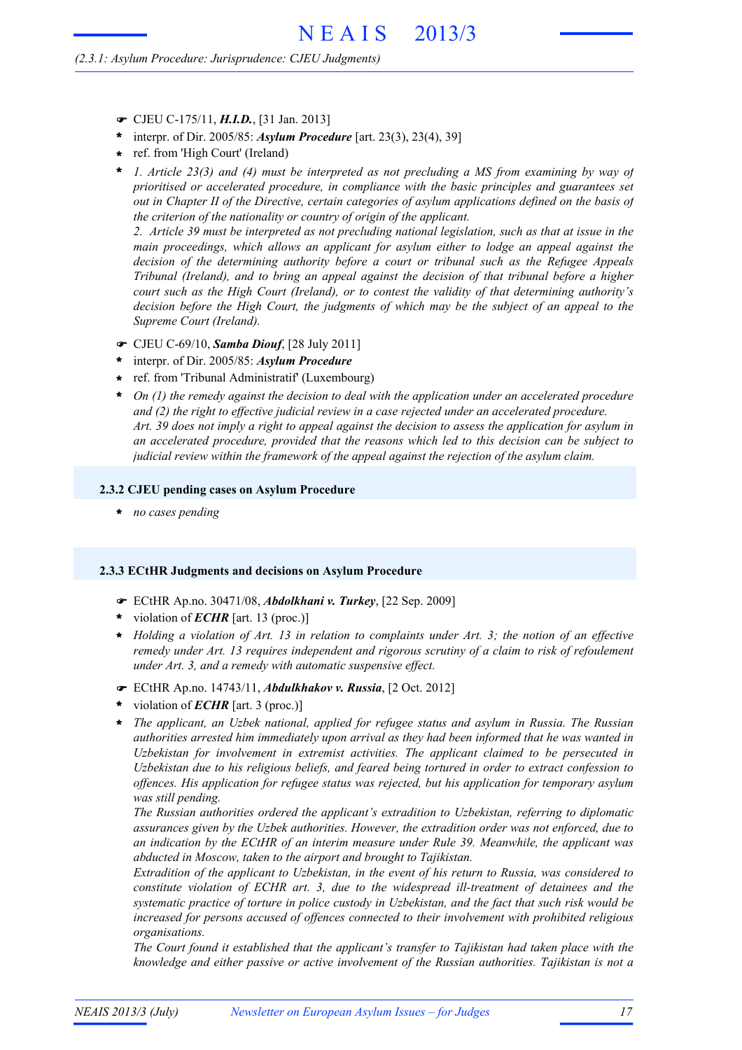#### *(2.3.1: Asylum Procedure: Jurisprudence: CJEU Judgments)*

- CJEU C-175/11, *H.I.D.*, [31 Jan. 2013]
- interpr. of Dir. 2005/85: *Asylum Procedure* [art. 23(3), 23(4), 39] **\***
- ref. from 'High Court' (Ireland) **\***
- *1. Article 23(3) and (4) must be interpreted as not precluding a MS from examining by way of prioritised or accelerated procedure, in compliance with the basic principles and guarantees set out in Chapter II of the Directive, certain categories of asylum applications defined on the basis of the criterion of the nationality or country of origin of the applicant.* **\***

2. Article 39 must be interpreted as not precluding national legislation, such as that at issue in the *main proceedings, which allows an applicant for asylum either to lodge an appeal against the decision of the determining authority before a court or tribunal such as the Refugee Appeals Tribunal (Ireland), and to bring an appeal against the decision of that tribunal before a higher court such as the High Court (Ireland), or to contest the validity of that determining authority's decision before the High Court, the judgments of which may be the subject of an appeal to the Supreme Court (Ireland).*

- CJEU C-69/10, *Samba Diouf*, [28 July 2011]
- interpr. of Dir. 2005/85: *Asylum Procedure* **\***
- ref. from 'Tribunal Administratif' (Luxembourg) **\***
- *On (1) the remedy against the decision to deal with the application under an accelerated procedure and (2) the right to effective judicial review in a case rejected under an accelerated procedure.* Art. 39 does not imply a right to appeal against the decision to assess the application for asylum in *an accelerated procedure, provided that the reasons which led to this decision can be subject to judicial review within the framework of the appeal against the rejection of the asylum claim.* **\***

#### **2.3.2 CJEU pending cases on Asylum Procedure**

**\*** *no cases pending*

#### **2.3.3 ECtHR Judgments and decisions on Asylum Procedure**

- ECtHR Ap.no. 30471/08, *Abdolkhani v. Turkey*, [22 Sep. 2009]
- violation of *ECHR* [art. 13 (proc.)] **\***
- \* Holding a violation of Art. 13 in relation to complaints under Art. 3; the notion of an effective *remedy under Art. 13 requires independent and rigorous scrutiny of a claim to risk of refoulement under Art. 3, and a remedy with automatic suspensive effect.*
- ECtHR Ap.no. 14743/11, *Abdulkhakov v. Russia*, [2 Oct. 2012]
- violation of *ECHR* [art. 3 (proc.)] **\***
- *The applicant, an Uzbek national, applied for refugee status and asylum in Russia. The Russian authorities arrested him immediately upon arrival as they had been informed that he was wanted in Uzbekistan for involvement in extremist activities. The applicant claimed to be persecuted in Uzbekistan due to his religious beliefs, and feared being tortured in order to extract confession to offences. His application for refugee status was rejected, but his application for temporary asylum was still pending.* **\***

*The Russian authorities ordered the applicant's extradition to Uzbekistan, referring to diplomatic assurances given by the Uzbek authorities. However, the extradition order was not enforced, due to an indication by the ECtHR of an interim measure under Rule 39. Meanwhile, the applicant was abducted in Moscow, taken to the airport and brought to Tajikistan.*

*Extradition of the applicant to Uzbekistan, in the event of his return to Russia, was considered to constitute violation of ECHR art. 3, due to the widespread ill-treatment of detainees and the systematic practice of torture in police custody in Uzbekistan, and the fact that such risk would be increased for persons accused of offences connected to their involvement with prohibited religious organisations.*

*The Court found it established that the applicant's transfer to Tajikistan had taken place with the knowledge and either passive or active involvement of the Russian authorities. Tajikistan is not a*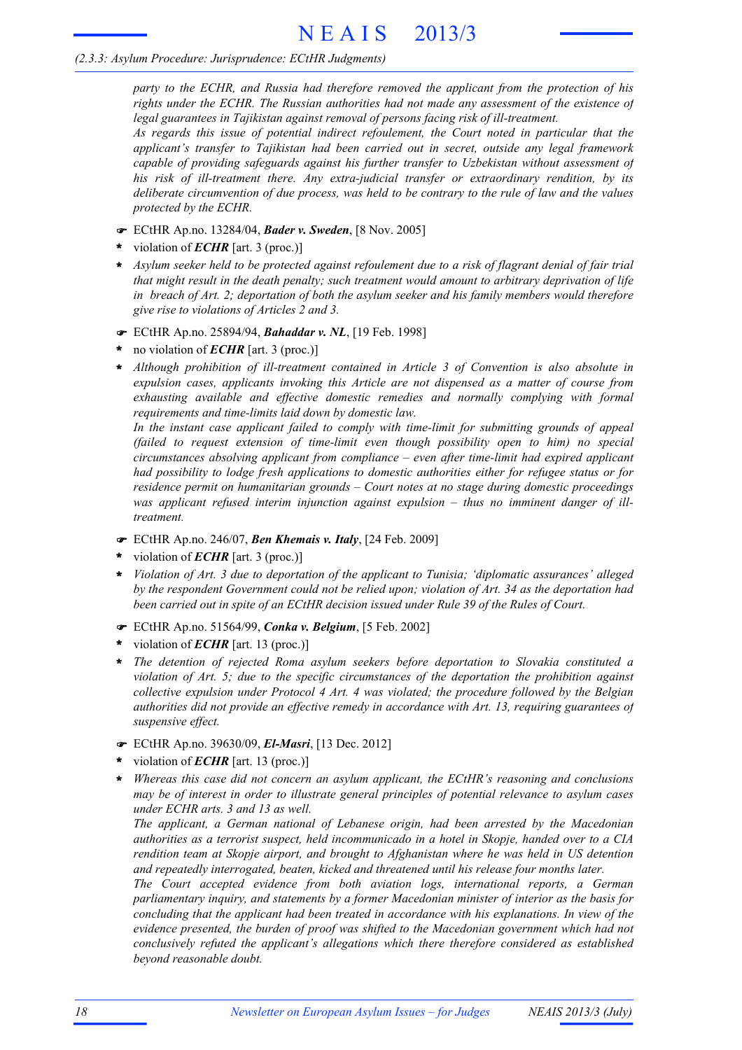#### *(2.3.3: Asylum Procedure: Jurisprudence: ECtHR Judgments)*

*party to the ECHR, and Russia had therefore removed the applicant from the protection of his rights under the ECHR. The Russian authorities had not made any assessment of the existence of legal guarantees in Tajikistan against removal of persons facing risk of ill-treatment.*

*As regards this issue of potential indirect refoulement, the Court noted in particular that the applicant's transfer to Tajikistan had been carried out in secret, outside any legal framework capable of providing safeguards against his further transfer to Uzbekistan without assessment of his risk of ill-treatment there. Any extra-judicial transfer or extraordinary rendition, by its deliberate circumvention of due process, was held to be contrary to the rule of law and the values protected by the ECHR.*

- ECtHR Ap.no. 13284/04, *Bader v. Sweden*, [8 Nov. 2005]
- violation of *ECHR* [art. 3 (proc.)] **\***
- \* Asylum seeker held to be protected against refoulement due to a risk of flagrant denial of fair trial *that might result in the death penalty; such treatment would amount to arbitrary deprivation of life in breach of Art. 2; deportation of both the asylum seeker and his family members would therefore give rise to violations of Articles 2 and 3.*
- ECtHR Ap.no. 25894/94, *Bahaddar v. NL*, [19 Feb. 1998]
- no violation of *ECHR* [art. 3 (proc.)] **\***
- *Although prohibition of ill-treatment contained in Article 3 of Convention is also absolute in expulsion cases, applicants invoking this Article are not dispensed as a matter of course from exhausting available and effective domestic remedies and normally complying with formal requirements and time-limits laid down by domestic law.* **\***

*In the instant case applicant failed to comply with time-limit for submitting grounds of appeal (failed to request extension of time-limit even though possibility open to him) no special circumstances absolving applicant from compliance – even after time-limit had expired applicant had possibility to lodge fresh applications to domestic authorities either for refugee status or for residence permit on humanitarian grounds – Court notes at no stage during domestic proceedings was applicant refused interim injunction against expulsion – thus no imminent danger of illtreatment.*

- ECtHR Ap.no. 246/07, *Ben Khemais v. Italy*, [24 Feb. 2009]
- violation of *ECHR* [art. 3 (proc.)] **\***
- *Violation of Art. 3 due to deportation of the applicant to Tunisia; 'diplomatic assurances' alleged by the respondent Government could not be relied upon; violation of Art. 34 as the deportation had been carried out in spite of an ECtHR decision issued under Rule 39 of the Rules of Court.* **\***
- ECtHR Ap.no. 51564/99, *Conka v. Belgium*, [5 Feb. 2002]
- violation of *ECHR* [art. 13 (proc.)] **\***
- *The detention of rejected Roma asylum seekers before deportation to Slovakia constituted a violation of Art. 5; due to the specific circumstances of the deportation the prohibition against collective expulsion under Protocol 4 Art. 4 was violated; the procedure followed by the Belgian authorities did not provide an effective remedy in accordance with Art. 13, requiring guarantees of suspensive effect.* **\***
- ECtHR Ap.no. 39630/09, *El-Masri*, [13 Dec. 2012]
- violation of *ECHR* [art. 13 (proc.)] **\***
- *Whereas this case did not concern an asylum applicant, the ECtHR's reasoning and conclusions may be of interest in order to illustrate general principles of potential relevance to asylum cases under ECHR arts. 3 and 13 as well.* **\***

*The applicant, a German national of Lebanese origin, had been arrested by the Macedonian authorities as a terrorist suspect, held incommunicado in a hotel in Skopje, handed over to a CIA rendition team at Skopje airport, and brought to Afghanistan where he was held in US detention and repeatedly interrogated, beaten, kicked and threatened until his release four months later.*

*The Court accepted evidence from both aviation logs, international reports, a German parliamentary inquiry, and statements by a former Macedonian minister of interior as the basis for concluding that the applicant had been treated in accordance with his explanations. In view of the evidence presented, the burden of proof was shifted to the Macedonian government which had not conclusively refuted the applicant's allegations which there therefore considered as established beyond reasonable doubt.*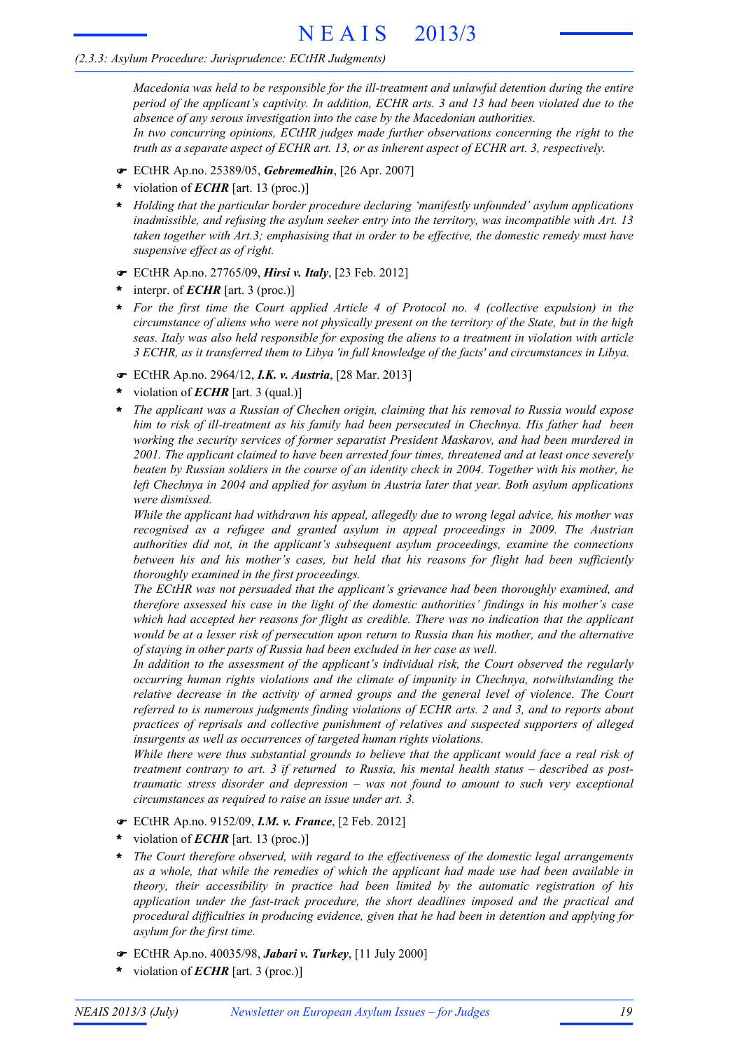#### *(2.3.3: Asylum Procedure: Jurisprudence: ECtHR Judgments)*

*Macedonia was held to be responsible for the ill-treatment and unlawful detention during the entire period of the applicant's captivity. In addition, ECHR arts. 3 and 13 had been violated due to the absence of any serous investigation into the case by the Macedonian authorities. In two concurring opinions, ECtHR judges made further observations concerning the right to the truth as a separate aspect of ECHR art. 13, or as inherent aspect of ECHR art. 3, respectively.*

- ECtHR Ap.no. 25389/05, *Gebremedhin*, [26 Apr. 2007]
- violation of *ECHR* [art. 13 (proc.)] **\***
- *Holding that the particular border procedure declaring 'manifestly unfounded' asylum applications* **\*** *inadmissible, and refusing the asylum seeker entry into the territory, was incompatible with Art. 13 taken together with Art.3; emphasising that in order to be effective, the domestic remedy must have suspensive effect as of right.*
- ECtHR Ap.no. 27765/09, *Hirsi v. Italy*, [23 Feb. 2012]
- interpr. of *ECHR* [art. 3 (proc.)] **\***
- *For the first time the Court applied Article 4 of Protocol no. 4 (collective expulsion) in the* **\*** circumstance of aliens who were not physically present on the territory of the State, but in the high *seas. Italy was also held responsible for exposing the aliens to a treatment in violation with article 3 ECHR, as it transferred them to Libya 'in full knowledge of the facts' and circumstances in Libya.*
- ECtHR Ap.no. 2964/12, *I.K. v. Austria*, [28 Mar. 2013]
- violation of *ECHR* [art. 3 (qual.)] **\***
- *The applicant was a Russian of Chechen origin, claiming that his removal to Russia would expose him to risk of ill-treatment as his family had been persecuted in Chechnya. His father had been working the security services of former separatist President Maskarov, and had been murdered in 2001. The applicant claimed to have been arrested four times, threatened and at least once severely* beaten by Russian soldiers in the course of an identity check in 2004. Together with his mother, he *left Chechnya in 2004 and applied for asylum in Austria later that year. Both asylum applications were dismissed.* **\***

*While the applicant had withdrawn his appeal, allegedly due to wrong legal advice, his mother was recognised as a refugee and granted asylum in appeal proceedings in 2009. The Austrian authorities did not, in the applicant's subsequent asylum proceedings, examine the connections between his and his mother's cases, but held that his reasons for flight had been sufficiently thoroughly examined in the first proceedings.*

*The ECtHR was not persuaded that the applicant's grievance had been thoroughly examined, and therefore assessed his case in the light of the domestic authorities' findings in his mother's case which had accepted her reasons for flight as credible. There was no indication that the applicant* would be at a lesser risk of persecution upon return to Russia than his mother, and the alternative *of staying in other parts of Russia had been excluded in her case as well.*

*In addition to the assessment of the applicant's individual risk, the Court observed the regularly occurring human rights violations and the climate of impunity in Chechnya, notwithstanding the relative decrease in the activity of armed groups and the general level of violence. The Court referred to is numerous judgments finding violations of ECHR arts. 2 and 3, and to reports about practices of reprisals and collective punishment of relatives and suspected supporters of alleged insurgents as well as occurrences of targeted human rights violations.*

*While there were thus substantial grounds to believe that the applicant would face a real risk of treatment contrary to art. 3 if returned to Russia, his mental health status – described as posttraumatic stress disorder and depression – was not found to amount to such very exceptional circumstances as required to raise an issue under art. 3.*

- ECtHR Ap.no. 9152/09, *I.M. v. France*, [2 Feb. 2012]
- violation of *ECHR* [art. 13 (proc.)] **\***
- *The Court therefore observed, with regard to the effectiveness of the domestic legal arrangements as a whole, that while the remedies of which the applicant had made use had been available in theory, their accessibility in practice had been limited by the automatic registration of his application under the fast-track procedure, the short deadlines imposed and the practical and procedural difficulties in producing evidence, given that he had been in detention and applying for asylum for the first time.* **\***
- ECtHR Ap.no. 40035/98, *Jabari v. Turkey*, [11 July 2000]
- violation of *ECHR* [art. 3 (proc.)] **\***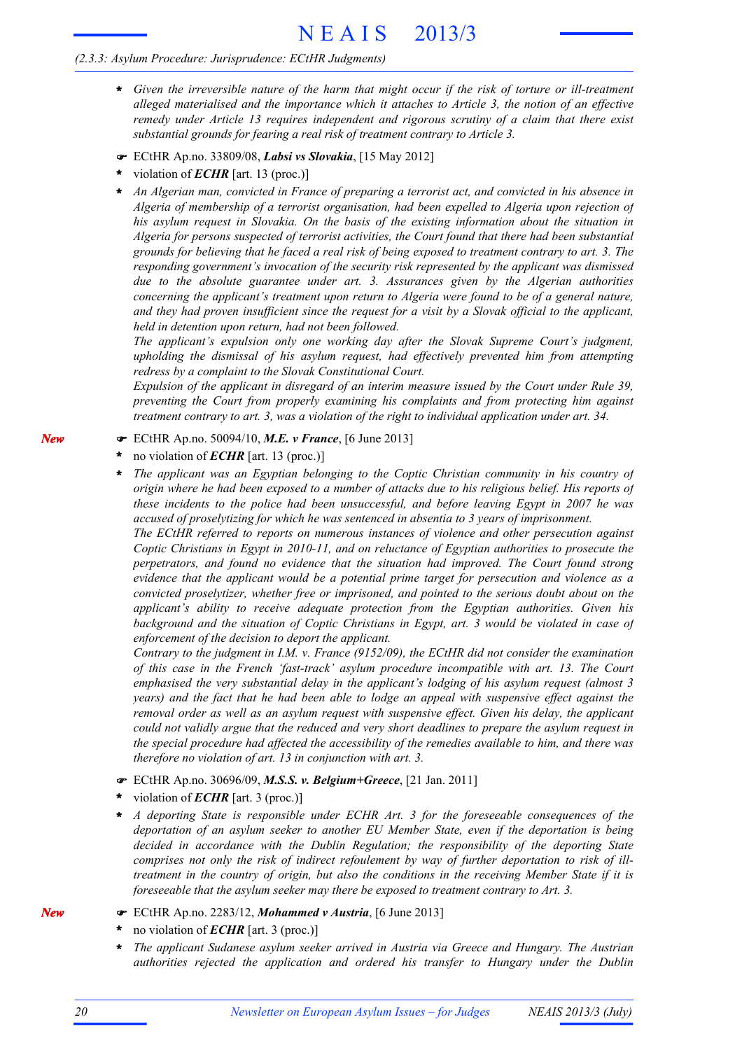# N E A I S 2013/3

#### *(2.3.3: Asylum Procedure: Jurisprudence: ECtHR Judgments)*

- \* Given the irreversible nature of the harm that might occur if the risk of torture or ill-treatment *alleged materialised and the importance which it attaches to Article 3, the notion of an effective remedy under Article 13 requires independent and rigorous scrutiny of a claim that there exist substantial grounds for fearing a real risk of treatment contrary to Article 3.*
- ECtHR Ap.no. 33809/08, *Labsi vs Slovakia*, [15 May 2012]
- violation of *ECHR* [art. 13 (proc.)] **\***
- *An Algerian man, convicted in France of preparing a terrorist act, and convicted in his absence in Algeria of membership of a terrorist organisation, had been expelled to Algeria upon rejection of his asylum request in Slovakia. On the basis of the existing information about the situation in Algeria for persons suspected of terrorist activities, the Court found that there had been substantial* grounds for believing that he faced a real risk of being exposed to treatment contrary to art. 3. The *responding government's invocation of the security risk represented by the applicant was dismissed due to the absolute guarantee under art. 3. Assurances given by the Algerian authorities concerning the applicant's treatment upon return to Algeria were found to be of a general nature,* and they had proven insufficient since the request for a visit by a Slovak official to the applicant. *held in detention upon return, had not been followed.* **\***

*The applicant's expulsion only one working day after the Slovak Supreme Court's judgment, upholding the dismissal of his asylum request, had effectively prevented him from attempting redress by a complaint to the Slovak Constitutional Court.*

*Expulsion of the applicant in disregard of an interim measure issued by the Court under Rule 39, preventing the Court from properly examining his complaints and from protecting him against treatment contrary to art. 3, was a violation of the right to individual application under art. 34.*

- ECtHR Ap.no. 50094/10, *M.E. v France*, [6 June 2013]
- no violation of *ECHR* [art. 13 (proc.)] **\***
- *The applicant was an Egyptian belonging to the Coptic Christian community in his country of* origin where he had been exposed to a number of attacks due to his religious belief. His reports of *these incidents to the police had been unsuccessful, and before leaving Egypt in 2007 he was accused of proselytizing for which he was sentenced in absentia to 3 years of imprisonment.* **\***

*The ECtHR referred to reports on numerous instances of violence and other persecution against Coptic Christians in Egypt in 2010-11, and on reluctance of Egyptian authorities to prosecute the perpetrators, and found no evidence that the situation had improved. The Court found strong evidence that the applicant would be a potential prime target for persecution and violence as a convicted proselytizer, whether free or imprisoned, and pointed to the serious doubt about on the applicant's ability to receive adequate protection from the Egyptian authorities. Given his background and the situation of Coptic Christians in Egypt, art. 3 would be violated in case of enforcement of the decision to deport the applicant.*

*Contrary to the judgment in I.M. v. France (9152/09), the ECtHR did not consider the examination of this case in the French 'fast-track' asylum procedure incompatible with art. 13. The Court emphasised the very substantial delay in the applicant's lodging of his asylum request (almost 3 years) and the fact that he had been able to lodge an appeal with suspensive effect against the removal order as well as an asylum request with suspensive effect. Given his delay, the applicant could not validly argue that the reduced and very short deadlines to prepare the asylum request in the special procedure had affected the accessibility of the remedies available to him, and there was therefore no violation of art. 13 in conjunction with art. 3.*

- ECtHR Ap.no. 30696/09, *M.S.S. v. Belgium+Greece*, [21 Jan. 2011]
- violation of *ECHR* [art. 3 (proc.)] **\***
- *A deporting State is responsible under ECHR Art. 3 for the foreseeable consequences of the deportation of an asylum seeker to another EU Member State, even if the deportation is being decided in accordance with the Dublin Regulation; the responsibility of the deporting State comprises not only the risk of indirect refoulement by way of further deportation to risk of illtreatment in the country of origin, but also the conditions in the receiving Member State if it is foreseeable that the asylum seeker may there be exposed to treatment contrary to Art. 3.* **\***
- ECtHR Ap.no. 2283/12, *Mohammed v Austria*, [6 June 2013]
- no violation of *ECHR* [art. 3 (proc.)] **\***
- *The applicant Sudanese asylum seeker arrived in Austria via Greece and Hungary. The Austrian authorities rejected the application and ordered his transfer to Hungary under the Dublin* **\***

*New*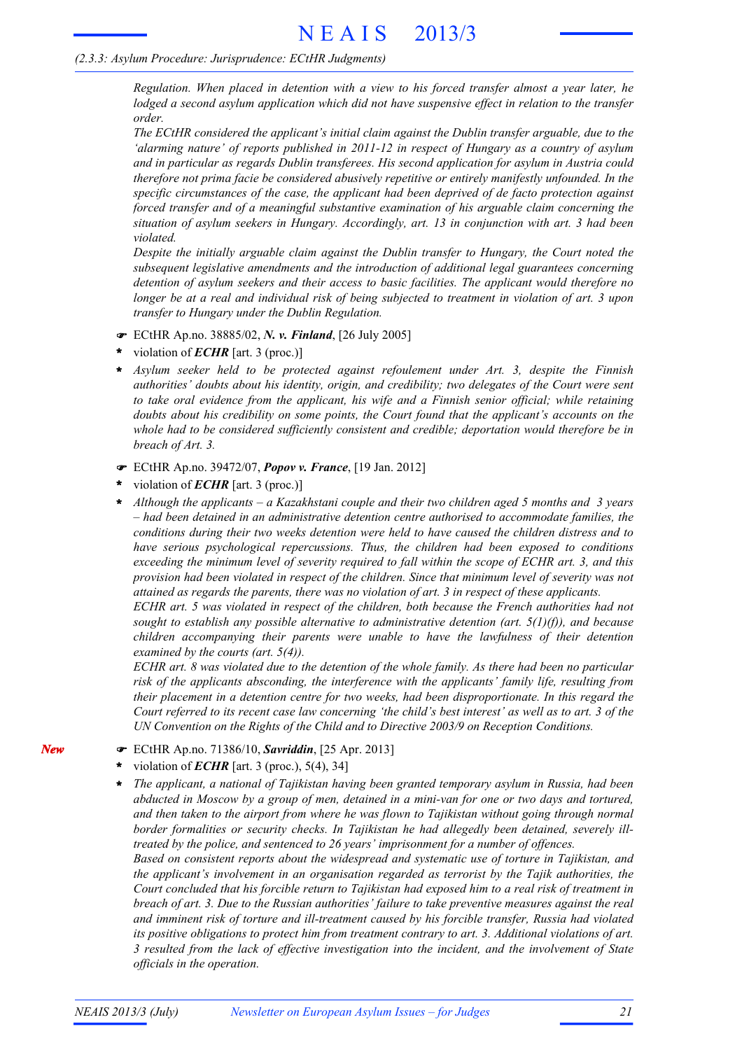#### *(2.3.3: Asylum Procedure: Jurisprudence: ECtHR Judgments)*

*Regulation. When placed in detention with a view to his forced transfer almost a year later, he lodged a second asylum application which did not have suspensive effect in relation to the transfer order.*

*The ECtHR considered the applicant's initial claim against the Dublin transfer arguable, due to the 'alarming nature' of reports published in 2011-12 in respect of Hungary as a country of asylum and in particular as regards Dublin transferees. His second application for asylum in Austria could therefore not prima facie be considered abusively repetitive or entirely manifestly unfounded. In the specific circumstances of the case, the applicant had been deprived of de facto protection against forced transfer and of a meaningful substantive examination of his arguable claim concerning the situation of asylum seekers in Hungary. Accordingly, art. 13 in conjunction with art. 3 had been violated.*

*Despite the initially arguable claim against the Dublin transfer to Hungary, the Court noted the subsequent legislative amendments and the introduction of additional legal guarantees concerning detention of asylum seekers and their access to basic facilities. The applicant would therefore no* longer be at a real and individual risk of being subjected to treatment in violation of art. 3 upon *transfer to Hungary under the Dublin Regulation.*

- ECtHR Ap.no. 38885/02, *N. v. Finland*, [26 July 2005]
- violation of *ECHR* [art. 3 (proc.)] **\***
- *Asylum seeker held to be protected against refoulement under Art. 3, despite the Finnish authorities' doubts about his identity, origin, and credibility; two delegates of the Court were sent to take oral evidence from the applicant, his wife and a Finnish senior official; while retaining doubts about his credibility on some points, the Court found that the applicant's accounts on the whole had to be considered sufficiently consistent and credible; deportation would therefore be in breach of Art. 3.* **\***
- ECtHR Ap.no. 39472/07, *Popov v. France*, [19 Jan. 2012]
- violation of *ECHR* [art. 3 (proc.)] **\***
- *Although the applicants – a Kazakhstani couple and their two children aged 5 months and 3 years – had been detained in an administrative detention centre authorised to accommodate families, the conditions during their two weeks detention were held to have caused the children distress and to have serious psychological repercussions. Thus, the children had been exposed to conditions exceeding the minimum level of severity required to fall within the scope of ECHR art. 3, and this provision had been violated in respect of the children. Since that minimum level of severity was not attained as regards the parents, there was no violation of art. 3 in respect of these applicants.* **\***

*ECHR art. 5 was violated in respect of the children, both because the French authorities had not sought to establish any possible alternative to administrative detention (art. 5(1)(f)), and because children accompanying their parents were unable to have the lawfulness of their detention examined by the courts (art. 5(4)).*

ECHR art. 8 was violated due to the detention of the whole family. As there had been no particular *risk of the applicants absconding, the interference with the applicants' family life, resulting from their placement in a detention centre for two weeks, had been disproportionate. In this regard the* Court referred to its recent case law concerning 'the child's best interest' as well as to art. 3 of the *UN Convention on the Rights of the Child and to Directive 2003/9 on Reception Conditions.*

- ECtHR Ap.no. 71386/10, *Savriddin*, [25 Apr. 2013]
- violation of *ECHR* [art. 3 (proc.), 5(4), 34] **\***
- *The applicant, a national of Tajikistan having been granted temporary asylum in Russia, had been* abducted in Moscow by a group of men, detained in a mini-van for one or two days and tortured, *and then taken to the airport from where he was flown to Tajikistan without going through normal border formalities or security checks. In Tajikistan he had allegedly been detained, severely illtreated by the police, and sentenced to 26 years' imprisonment for a number of offences.* **\***

*Based on consistent reports about the widespread and systematic use of torture in Tajikistan, and the applicant's involvement in an organisation regarded as terrorist by the Tajik authorities, the* Court concluded that his forcible return to Tajikistan had exposed him to a real risk of treatment in *breach of art. 3. Due to the Russian authorities' failure to take preventive measures against the real and imminent risk of torture and ill-treatment caused by his forcible transfer, Russia had violated its positive obligations to protect him from treatment contrary to art. 3. Additional violations of art. 3 resulted from the lack of effective investigation into the incident, and the involvement of State officials in the operation.*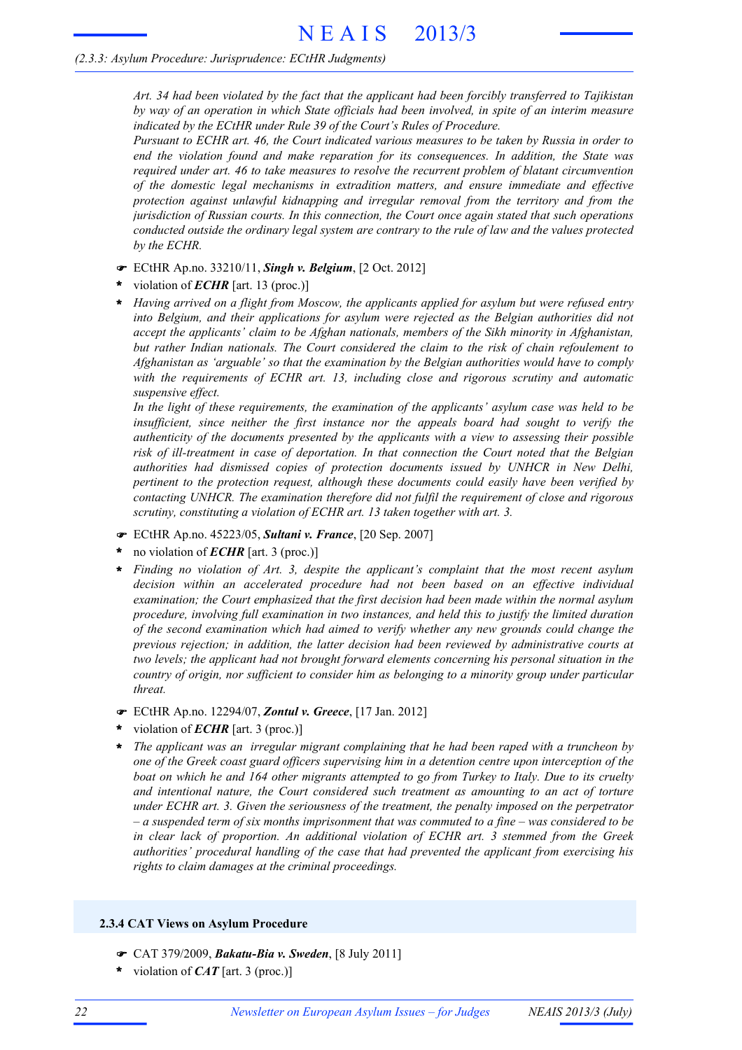#### *(2.3.3: Asylum Procedure: Jurisprudence: ECtHR Judgments)*

*Art. 34 had been violated by the fact that the applicant had been forcibly transferred to Tajikistan by way of an operation in which State officials had been involved, in spite of an interim measure indicated by the ECtHR under Rule 39 of the Court's Rules of Procedure.*

*Pursuant to ECHR art. 46, the Court indicated various measures to be taken by Russia in order to end the violation found and make reparation for its consequences. In addition, the State was required under art. 46 to take measures to resolve the recurrent problem of blatant circumvention of the domestic legal mechanisms in extradition matters, and ensure immediate and effective protection against unlawful kidnapping and irregular removal from the territory and from the jurisdiction of Russian courts. In this connection, the Court once again stated that such operations conducted outside the ordinary legal system are contrary to the rule of law and the values protected by the ECHR.*

- ECtHR Ap.no. 33210/11, *Singh v. Belgium*, [2 Oct. 2012]
- violation of *ECHR* [art. 13 (proc.)] **\***
- *Having arrived on a flight from Moscow, the applicants applied for asylum but were refused entry into Belgium, and their applications for asylum were rejected as the Belgian authorities did not accept the applicants' claim to be Afghan nationals, members of the Sikh minority in Afghanistan, but rather Indian nationals. The Court considered the claim to the risk of chain refoulement to Afghanistan as 'arguable' so that the examination by the Belgian authorities would have to comply with the requirements of ECHR art. 13, including close and rigorous scrutiny and automatic suspensive effect.* **\***

*In the light of these requirements, the examination of the applicants' asylum case was held to be insufficient, since neither the first instance nor the appeals board had sought to verify the authenticity of the documents presented by the applicants with a view to assessing their possible risk of ill-treatment in case of deportation. In that connection the Court noted that the Belgian authorities had dismissed copies of protection documents issued by UNHCR in New Delhi, pertinent to the protection request, although these documents could easily have been verified by contacting UNHCR. The examination therefore did not fulfil the requirement of close and rigorous scrutiny, constituting a violation of ECHR art. 13 taken together with art. 3.*

- ECtHR Ap.no. 45223/05, *Sultani v. France*, [20 Sep. 2007]
- no violation of *ECHR* [art. 3 (proc.)] **\***
- *Finding no violation of Art. 3, despite the applicant's complaint that the most recent asylum decision within an accelerated procedure had not been based on an effective individual examination; the Court emphasized that the first decision had been made within the normal asylum procedure, involving full examination in two instances, and held this to justify the limited duration of the second examination which had aimed to verify whether any new grounds could change the previous rejection; in addition, the latter decision had been reviewed by administrative courts at two levels; the applicant had not brought forward elements concerning his personal situation in the country of origin, nor sufficient to consider him as belonging to a minority group under particular threat.* **\***
- ECtHR Ap.no. 12294/07, *Zontul v. Greece*, [17 Jan. 2012]
- violation of *ECHR* [art. 3 (proc.)] **\***
- *The applicant was an irregular migrant complaining that he had been raped with a truncheon by one of the Greek coast guard officers supervising him in a detention centre upon interception of the* boat on which he and 164 other migrants attempted to go from Turkey to Italy. Due to its cruelty *and intentional nature, the Court considered such treatment as amounting to an act of torture under ECHR art. 3. Given the seriousness of the treatment, the penalty imposed on the perpetrator*  $-a$  suspended term of six months imprisonment that was commuted to a fine – was considered to be *in clear lack of proportion. An additional violation of ECHR art. 3 stemmed from the Greek authorities' procedural handling of the case that had prevented the applicant from exercising his rights to claim damages at the criminal proceedings.* **\***

#### **2.3.4 CAT Views on Asylum Procedure**

- CAT 379/2009, *Bakatu-Bia v. Sweden*, [8 July 2011]
- violation of *CAT* [art. 3 (proc.)] **\***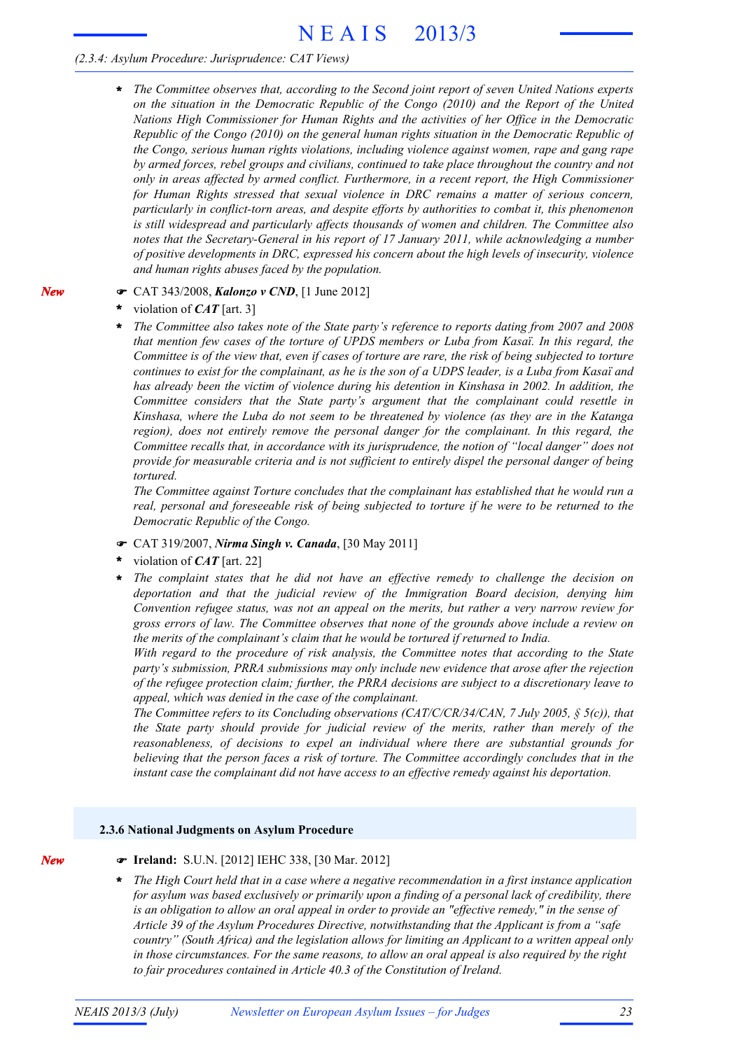# N E A I S 2013/3

### *(2.3.4: Asylum Procedure: Jurisprudence: CAT Views)*

*The Committee observes that, according to the Second joint report of seven United Nations experts on the situation in the Democratic Republic of the Congo (2010) and the Report of the United Nations High Commissioner for Human Rights and the activities of her Office in the Democratic Republic of the Congo (2010) on the general human rights situation in the Democratic Republic of the Congo, serious human rights violations, including violence against women, rape and gang rape by armed forces, rebel groups and civilians, continued to take place throughout the country and not only in areas affected by armed conflict. Furthermore, in a recent report, the High Commissioner for Human Rights stressed that sexual violence in DRC remains a matter of serious concern, particularly in conflict-torn areas, and despite efforts by authorities to combat it, this phenomenon is still widespread and particularly affects thousands of women and children. The Committee also notes that the Secretary-General in his report of 17 January 2011, while acknowledging a number of positive developments in DRC, expressed his concern about the high levels of insecurity, violence and human rights abuses faced by the population.* **\***

### CAT 343/2008, *Kalonzo v CND*, [1 June 2012]

- violation of *CAT* [art. 3] **\***
- *The Committee also takes note of the State party's reference to reports dating from 2007 and 2008 that mention few cases of the torture of UPDS members or Luba from Kasaï. In this regard, the* Committee is of the view that, even if cases of torture are rare, the risk of being subjected to torture continues to exist for the complainant, as he is the son of a UDPS leader, is a Luba from Kasaï and *has already been the victim of violence during his detention in Kinshasa in 2002. In addition, the Committee considers that the State party's argument that the complainant could resettle in Kinshasa, where the Luba do not seem to be threatened by violence (as they are in the Katanga region), does not entirely remove the personal danger for the complainant. In this regard, the Committee recalls that, in accordance with its jurisprudence, the notion of "local danger" does not provide for measurable criteria and is not sufficient to entirely dispel the personal danger of being tortured.* **\***

*The Committee against Torture concludes that the complainant has established that he would run a real, personal and foreseeable risk of being subjected to torture if he were to be returned to the Democratic Republic of the Congo.*

- CAT 319/2007, *Nirma Singh v. Canada*, [30 May 2011]
- violation of *CAT* [art. 22] **\***
- *The complaint states that he did not have an effective remedy to challenge the decision on deportation and that the judicial review of the Immigration Board decision, denying him Convention refugee status, was not an appeal on the merits, but rather a very narrow review for gross errors of law. The Committee observes that none of the grounds above include a review on the merits of the complainant's claim that he would be tortured if returned to India.* **\***

*With regard to the procedure of risk analysis, the Committee notes that according to the State party's submission, PRRA submissions may only include new evidence that arose after the rejection of the refugee protection claim; further, the PRRA decisions are subject to a discretionary leave to appeal, which was denied in the case of the complainant.*

*The Committee refers to its Concluding observations (CAT/C/CR/34/CAN, 7 July 2005, § 5(c)), that the State party should provide for judicial review of the merits, rather than merely of the reasonableness, of decisions to expel an individual where there are substantial grounds for believing that the person faces a risk of torture. The Committee accordingly concludes that in the instant case the complainant did not have access to an effective remedy against his deportation.*

#### **2.3.6 National Judgments on Asylum Procedure**

*New*

- **Ireland:** S.U.N. [2012] IEHC 338, [30 Mar. 2012]
- *The High Court held that in a case where a negative recommendation in a first instance application for asylum was based exclusively or primarily upon a finding of a personal lack of credibility, there is an obligation to allow an oral appeal in order to provide an "effective remedy," in the sense of Article 39 of the Asylum Procedures Directive, notwithstanding that the Applicant is from a "safe country" (South Africa) and the legislation allows for limiting an Applicant to a written appeal only in those circumstances. For the same reasons, to allow an oral appeal is also required by the right to fair procedures contained in Article 40.3 of the Constitution of Ireland.* **\***

*New*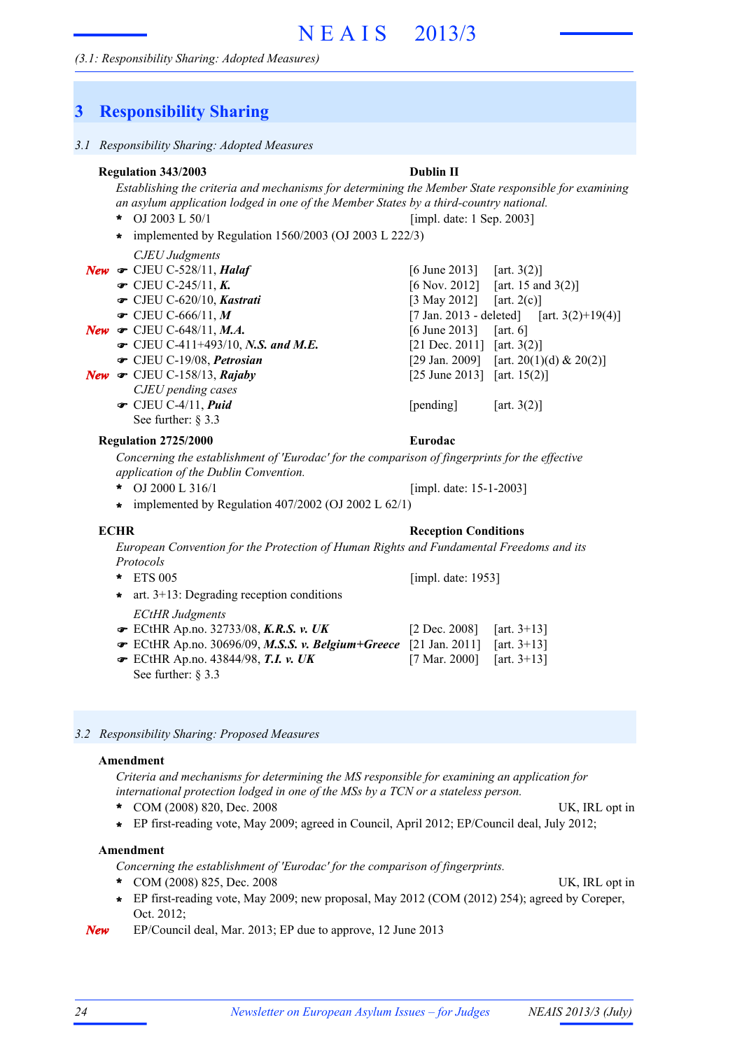## **3 Responsibility Sharing**

| $\frac{1}{2}$                                                                                                                                                                                                                                                                                                             |                                                                                                                                           |                                                                                                                                                                                       |
|---------------------------------------------------------------------------------------------------------------------------------------------------------------------------------------------------------------------------------------------------------------------------------------------------------------------------|-------------------------------------------------------------------------------------------------------------------------------------------|---------------------------------------------------------------------------------------------------------------------------------------------------------------------------------------|
| 3.1 Responsibility Sharing: Adopted Measures                                                                                                                                                                                                                                                                              |                                                                                                                                           |                                                                                                                                                                                       |
| <b>Regulation 343/2003</b><br>Establishing the criteria and mechanisms for determining the Member State responsible for examining<br>an asylum application lodged in one of the Member States by a third-country national.<br>$\star$ OJ 2003 L 50/1<br>implemented by Regulation $1560/2003$ (OJ 2003 L 222/3)<br>*      | <b>Dublin II</b><br>[impl. date: 1 Sep. 2003]                                                                                             |                                                                                                                                                                                       |
| <b>CJEU</b> Judgments<br>New $\in$ CJEU C-528/11, Halaf<br>• CJEU C-245/11, $K$ .<br>CJEU C-620/10, Kastrati<br>$\bullet$ CJEU C-666/11, M<br>New $\bullet$ CJEU C-648/11, M.A.<br>$\bullet$ CJEU C-411+493/10, N.S. and M.E.<br>CJEU C-19/08, Petrosian<br>New $\in$ CJEU C-158/13, Rajaby                               | $[6 \text{ June } 2013]$<br>$[3$ May 2012]<br>$[6 \text{ June } 2013]$<br>[21 Dec. 2011] [art. $3(2)$ ]<br>[25 June 2013] [art. $15(2)$ ] | [art. $3(2)$ ]<br>$[6 \text{ Nov. } 2012]$ [art. 15 and 3(2)]<br>[art. $2(c)$ ]<br>[7 Jan. 2013 - deleted] [art. 3(2)+19(4)]<br>[art. $6$ ]<br>[29 Jan. 2009] [art. 20(1)(d) & 20(2)] |
| CJEU pending cases<br>$\bullet$ CJEU C-4/11, Puid<br>See further: $\S$ 3.3                                                                                                                                                                                                                                                | [pending]                                                                                                                                 | [art. $3(2)$ ]                                                                                                                                                                        |
| <b>Regulation 2725/2000</b><br>Concerning the establishment of 'Eurodac' for the comparison of fingerprints for the effective<br>application of the Dublin Convention.<br>OJ 2000 L 316/1<br>*<br>$\star$ implemented by Regulation 407/2002 (OJ 2002 L 62/1)                                                             | Eurodac<br>[impl. date: 15-1-2003]                                                                                                        |                                                                                                                                                                                       |
| <b>ECHR</b><br>European Convention for the Protection of Human Rights and Fundamental Freedoms and its<br>Protocols                                                                                                                                                                                                       | <b>Reception Conditions</b>                                                                                                               |                                                                                                                                                                                       |
| *<br><b>ETS 005</b><br>art. $3+13$ : Degrading reception conditions<br>*<br><b>ECtHR Judgments</b>                                                                                                                                                                                                                        | [impl. date: 1953]                                                                                                                        |                                                                                                                                                                                       |
| ECtHR Ap.no. 32733/08, K.R.S. v. UK<br>ECtHR Ap.no. 30696/09, M.S.S. v. Belgium+Greece [21 Jan. 2011]<br>$\bullet$ ECtHR Ap.no. 43844/98, T.I. v. UK<br>See further: $\S 3.3$                                                                                                                                             | $[2 \text{ Dec. } 2008]$<br>$[7 \text{ Mar. } 2000]$                                                                                      | [art. $3+13$ ]<br>[art. $3+13$ ]<br>[art. $3+13$ ]                                                                                                                                    |
| 3.2 Responsibility Sharing: Proposed Measures                                                                                                                                                                                                                                                                             |                                                                                                                                           |                                                                                                                                                                                       |
| Amendment<br>Criteria and mechanisms for determining the MS responsible for examining an application for<br>international protection lodged in one of the MSs by a TCN or a stateless person.<br>COM (2008) 820, Dec. 2008<br>EP first-reading vote, May 2009; agreed in Council, April 2012; EP/Council deal, July 2012; |                                                                                                                                           | UK, IRL opt in                                                                                                                                                                        |

#### **Amendment**

*Concerning the establishment of 'Eurodac' for the comparison of fingerprints.*

- \* COM (2008) 825, Dec. 2008 UK, IRL opt in
- EP first-reading vote, May 2009; new proposal, May 2012 (COM (2012) 254); agreed by Coreper, Oct. 2012; **\***

*New* EP/Council deal, Mar. 2013; EP due to approve, 12 June 2013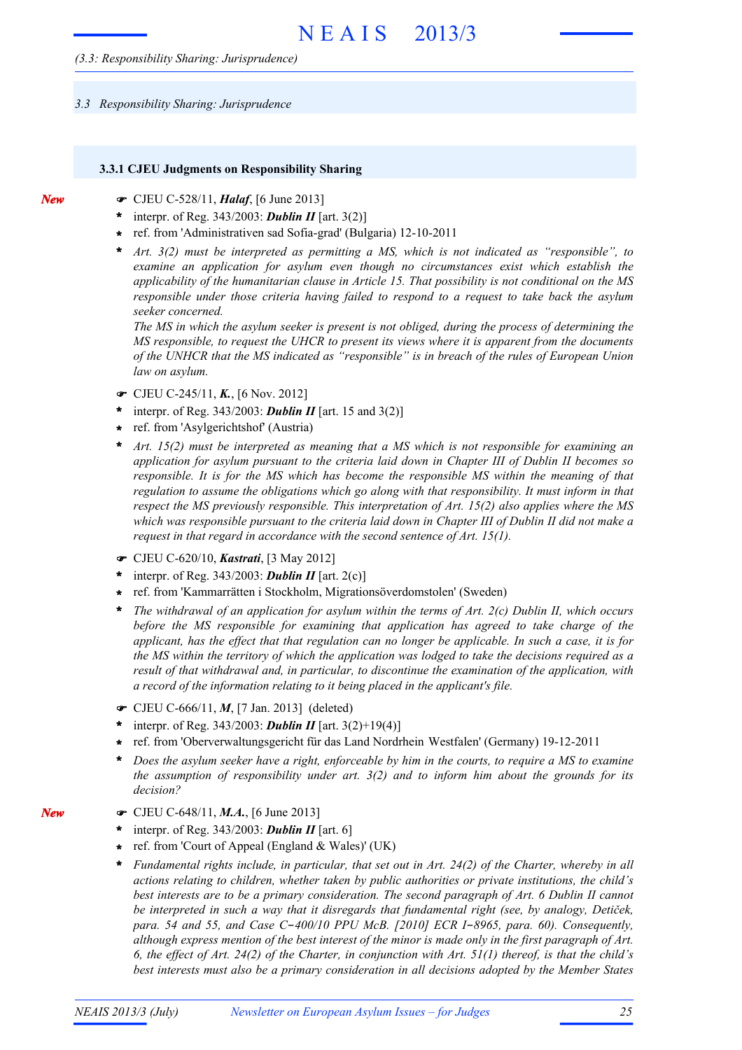#### *3.3 Responsibility Sharing: Jurisprudence*

#### **3.3.1 CJEU Judgments on Responsibility Sharing**

- CJEU C-528/11, *Halaf*, [6 June 2013]
- interpr. of Reg. 343/2003: *Dublin II* [art. 3(2)] **\***
- ref. from 'Administrativen sad Sofia-grad' (Bulgaria) 12-10-2011 **\***
- *Art. 3(2) must be interpreted as permitting a MS, which is not indicated as "responsible", to examine an application for asylum even though no circumstances exist which establish the applicability of the humanitarian clause in Article 15. That possibility is not conditional on the MS responsible under those criteria having failed to respond to a request to take back the asylum seeker concerned.* **\***

*The MS in which the asylum seeker is present is not obliged, during the process of determining the MS responsible, to request the UHCR to present its views where it is apparent from the documents of the UNHCR that the MS indicated as "responsible" is in breach of the rules of European Union law on asylum.*

- CJEU C-245/11, *K.*, [6 Nov. 2012]
- interpr. of Reg. 343/2003: *Dublin II* [art. 15 and 3(2)] **\***
- ref. from 'Asylgerichtshof' (Austria) **\***
- *Art. 15(2) must be interpreted as meaning that a MS which is not responsible for examining an application for asylum pursuant to the criteria laid down in Chapter III of Dublin II becomes so responsible. It is for the MS which has become the responsible MS within the meaning of that regulation to assume the obligations which go along with that responsibility. It must inform in that respect the MS previously responsible. This interpretation of Art. 15(2) also applies where the MS* which was responsible pursuant to the criteria laid down in Chapter III of Dublin II did not make a *request in that regard in accordance with the second sentence of Art. 15(1).* **\***
- CJEU C-620/10, *Kastrati*, [3 May 2012]
- \* interpr. of Reg.  $343/2003$ : **Dublin II** [art. 2(c)]
- ref. from 'Kammarrätten i Stockholm, Migrationsöverdomstolen' (Sweden) **\***
- *The withdrawal of an application for asylum within the terms of Art. 2(c) Dublin II, which occurs before the MS responsible for examining that application has agreed to take charge of the* applicant, has the effect that that regulation can no longer be applicable. In such a case, it is for the MS within the territory of which the application was lodged to take the decisions required as a *result of that withdrawal and, in particular, to discontinue the examination of the application, with a record of the information relating to it being placed in the applicant's file.* **\***
- CJEU C-666/11, *M*, [7 Jan. 2013] (deleted)
- interpr. of Reg. 343/2003: *Dublin II* [art. 3(2)+19(4)] **\***
- ref. from 'Oberverwaltungsgericht für das Land Nordrhein Westfalen' (Germany) 19-12-2011 **\***
- Does the asylum seeker have a right, enforceable by him in the courts, to require a MS to examine *the assumption of responsibility under art. 3(2) and to inform him about the grounds for its decision?* **\***
- CJEU C-648/11, *M.A.*, [6 June 2013]
- interpr. of Reg. 343/2003: *Dublin II* [art. 6] **\***
- ref. from 'Court of Appeal (England & Wales)' (UK) **\***
- *Fundamental rights include, in particular, that set out in Art. 24(2) of the Charter, whereby in all actions relating to children, whether taken by public authorities or private institutions, the child's best interests are to be a primary consideration. The second paragraph of Art. 6 Dublin II cannot be interpreted in such a way that it disregards that fundamental right (see, by analogy, Detiček, para. 54 and 55, and Case C*-*400/10 PPU McB. [2010] ECR I*-*8965, para. 60). Consequently,* although express mention of the best interest of the minor is made only in the first paragraph of Art. 6, the effect of Art. 24(2) of the Charter, in conjunction with Art.  $5I(1)$  thereof, is that the child's *best interests must also be a primary consideration in all decisions adopted by the Member States* **\***

*New*

*New*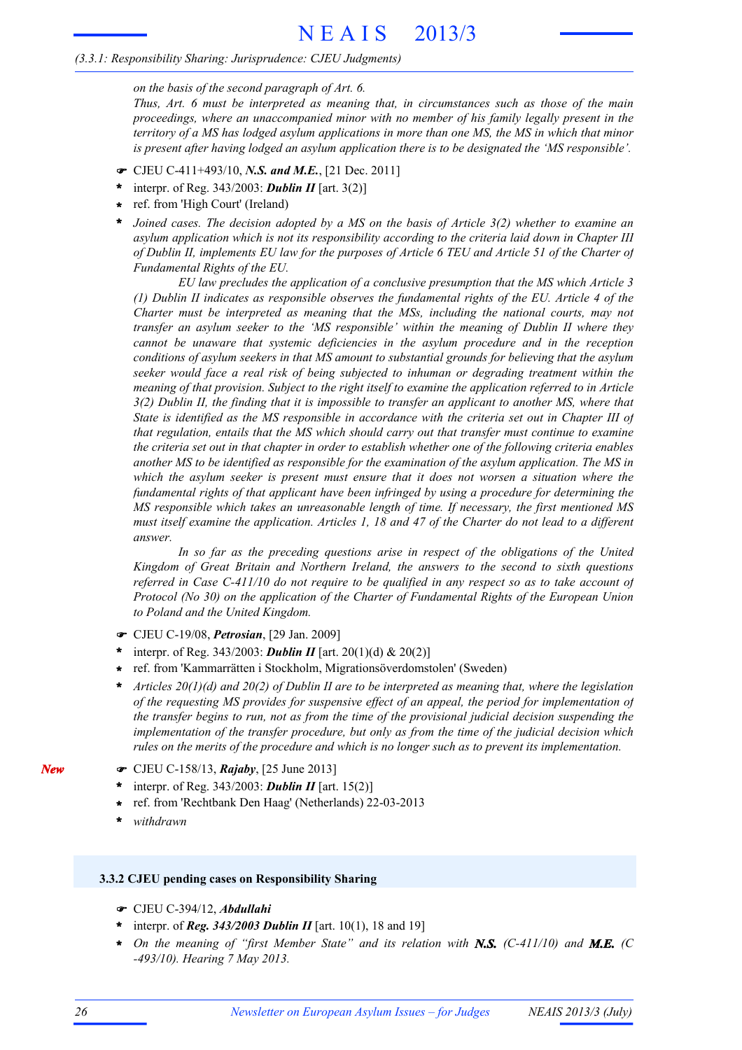#### *(3.3.1: Responsibility Sharing: Jurisprudence: CJEU Judgments)*

*on the basis of the second paragraph of Art. 6.*

*Thus, Art. 6 must be interpreted as meaning that, in circumstances such as those of the main proceedings, where an unaccompanied minor with no member of his family legally present in the* territory of a MS has lodged asylum applications in more than one MS, the MS in which that minor *is present after having lodged an asylum application there is to be designated the 'MS responsible'.*

- CJEU C-411+493/10, *N.S. and M.E.*, [21 Dec. 2011]
- interpr. of Reg. 343/2003: *Dublin II* [art. 3(2)] **\***
- ref. from 'High Court' (Ireland) **\***
- *Joined cases. The decision adopted by a MS on the basis of Article 3(2) whether to examine an asylum application which is not its responsibility according to the criteria laid down in Chapter III* of Dublin II, implements EU law for the purposes of Article 6 TEU and Article 51 of the Charter of *Fundamental Rights of the EU.* **\***

*EU law precludes the application of a conclusive presumption that the MS which Article 3 (1) Dublin II indicates as responsible observes the fundamental rights of the EU. Article 4 of the Charter must be interpreted as meaning that the MSs, including the national courts, may not transfer an asylum seeker to the 'MS responsible' within the meaning of Dublin II where they cannot be unaware that systemic deficiencies in the asylum procedure and in the reception conditions of asylum seekers in that MS amount to substantial grounds for believing that the asylum seeker would face a real risk of being subjected to inhuman or degrading treatment within the meaning of that provision. Subject to the right itself to examine the application referred to in Article*  $3(2)$  Dublin II, the finding that it is impossible to transfer an applicant to another MS, where that State is identified as the MS responsible in accordance with the criteria set out in Chapter III of *that regulation, entails that the MS which should carry out that transfer must continue to examine* the criteria set out in that chapter in order to establish whether one of the following criteria enables *another MS to be identified as responsible for the examination of the asylum application. The MS in which the asylum seeker is present must ensure that it does not worsen a situation where the fundamental rights of that applicant have been infringed by using a procedure for determining the MS responsible which takes an unreasonable length of time. If necessary, the first mentioned MS* must itself examine the application. Articles 1, 18 and 47 of the Charter do not lead to a different *answer.*

*In so far as the preceding questions arise in respect of the obligations of the United Kingdom of Great Britain and Northern Ireland, the answers to the second to sixth questions* referred in Case C-411/10 do not require to be qualified in any respect so as to take account of *Protocol (No 30) on the application of the Charter of Fundamental Rights of the European Union to Poland and the United Kingdom.*

- CJEU C-19/08, *Petrosian*, [29 Jan. 2009]
- interpr. of Reg. 343/2003: *Dublin II* [art. 20(1)(d) & 20(2)] **\***
- ref. from 'Kammarrätten i Stockholm, Migrationsöverdomstolen' (Sweden) **\***
- *Articles 20(1)(d) and 20(2) of Dublin II are to be interpreted as meaning that, where the legislation of the requesting MS provides for suspensive effect of an appeal, the period for implementation of the transfer begins to run, not as from the time of the provisional judicial decision suspending the implementation of the transfer procedure, but only as from the time of the judicial decision which rules on the merits of the procedure and which is no longer such as to prevent its implementation.* **\***
- CJEU C-158/13, *Rajaby*, [25 June 2013]
- interpr. of Reg. 343/2003: *Dublin II* [art. 15(2)] **\***
- ref. from 'Rechtbank Den Haag' (Netherlands) 22-03-2013 **\***
- **\*** *withdrawn*

#### **3.3.2 CJEU pending cases on Responsibility Sharing**

- CJEU C-394/12, *Abdullahi*
- \* interpr. of *Reg.* 343/2003 *Dublin II* [art. 10(1), 18 and 19]
- *On the meaning of "first Member State" and its relation with N.S. (C-411/10) and M.E. (C -493/10). Hearing 7 May 2013.* **\***

*New*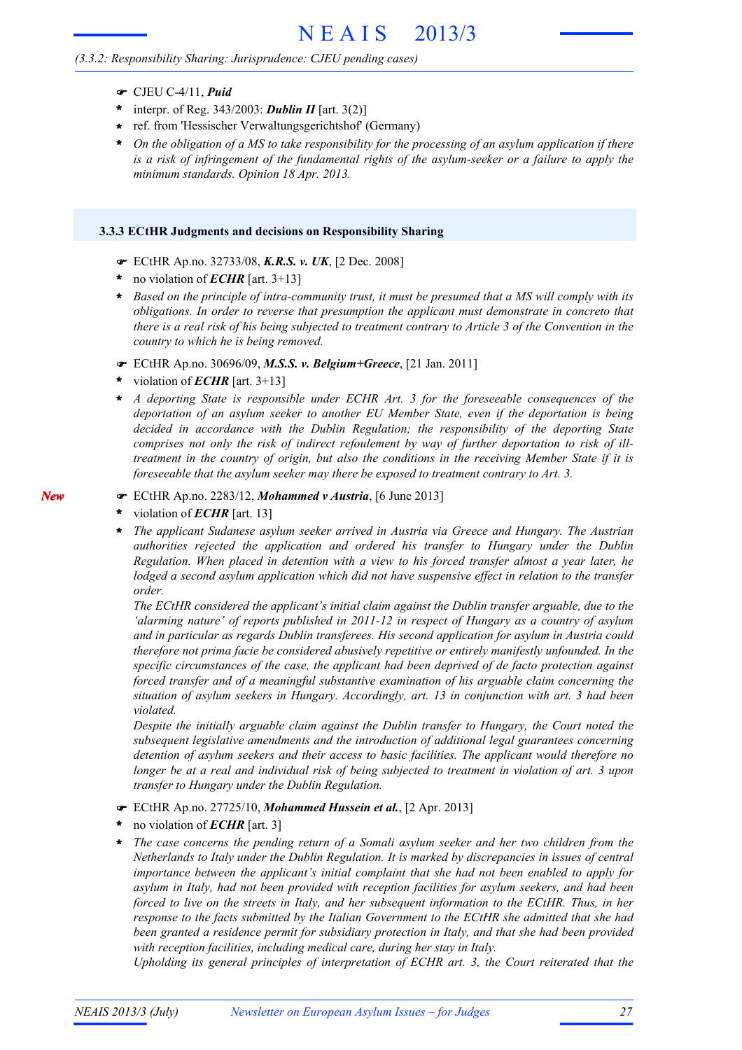### *(3.3.2: Responsibility Sharing: Jurisprudence: CJEU pending cases)*

- CJEU C-4/11, *Puid*
- \* interpr. of Reg.  $343/2003$ : **Dublin II** [art.  $3(2)$ ]
- ref. from 'Hessischer Verwaltungsgerichtshof' (Germany) **\***
- On the obligation of a  $MS$  to take responsibility for the processing of an asylum application if there *is a risk of infringement of the fundamental rights of the asylum-seeker or a failure to apply the minimum standards. Opinion 18 Apr. 2013.* **\***

#### **3.3.3 ECtHR Judgments and decisions on Responsibility Sharing**

- ECtHR Ap.no. 32733/08, *K.R.S. v. UK*, [2 Dec. 2008]
- no violation of *ECHR* [art. 3+13] **\***
- Based on the principle of intra-community trust, it must be presumed that a MS will comply with its *obligations. In order to reverse that presumption the applicant must demonstrate in concreto that* there is a real risk of his being subjected to treatment contrary to Article 3 of the Convention in the *country to which he is being removed.* **\***
- ECtHR Ap.no. 30696/09, *M.S.S. v. Belgium+Greece*, [21 Jan. 2011]
- violation of *ECHR* [art. 3+13] **\***
- *A deporting State is responsible under ECHR Art. 3 for the foreseeable consequences of the deportation of an asylum seeker to another EU Member State, even if the deportation is being decided in accordance with the Dublin Regulation; the responsibility of the deporting State comprises not only the risk of indirect refoulement by way of further deportation to risk of illtreatment in the country of origin, but also the conditions in the receiving Member State if it is foreseeable that the asylum seeker may there be exposed to treatment contrary to Art. 3.* **\***
- ECtHR Ap.no. 2283/12, *Mohammed v Austria*, [6 June 2013]
- violation of *ECHR* [art. 13] **\***

*New*

*The applicant Sudanese asylum seeker arrived in Austria via Greece and Hungary. The Austrian authorities rejected the application and ordered his transfer to Hungary under the Dublin Regulation. When placed in detention with a view to his forced transfer almost a year later, he lodged a second asylum application which did not have suspensive effect in relation to the transfer order.* **\***

*The ECtHR considered the applicant's initial claim against the Dublin transfer arguable, due to the 'alarming nature' of reports published in 2011-12 in respect of Hungary as a country of asylum and in particular as regards Dublin transferees. His second application for asylum in Austria could therefore not prima facie be considered abusively repetitive or entirely manifestly unfounded. In the specific circumstances of the case, the applicant had been deprived of de facto protection against forced transfer and of a meaningful substantive examination of his arguable claim concerning the situation of asylum seekers in Hungary. Accordingly, art. 13 in conjunction with art. 3 had been violated.*

*Despite the initially arguable claim against the Dublin transfer to Hungary, the Court noted the subsequent legislative amendments and the introduction of additional legal guarantees concerning detention of asylum seekers and their access to basic facilities. The applicant would therefore no* longer be at a real and individual risk of being subjected to treatment in violation of art. 3 upon *transfer to Hungary under the Dublin Regulation.*

- ECtHR Ap.no. 27725/10, *Mohammed Hussein et al.*, [2 Apr. 2013]
- no violation of *ECHR* [art. 3] **\***
- *The case concerns the pending return of a Somali asylum seeker and her two children from the Netherlands to Italy under the Dublin Regulation. It is marked by discrepancies in issues of central importance between the applicant's initial complaint that she had not been enabled to apply for asylum in Italy, had not been provided with reception facilities for asylum seekers, and had been forced to live on the streets in Italy, and her subsequent information to the ECtHR. Thus, in her response to the facts submitted by the Italian Government to the ECtHR she admitted that she had been granted a residence permit for subsidiary protection in Italy, and that she had been provided with reception facilities, including medical care, during her stay in Italy.* **\***

*Upholding its general principles of interpretation of ECHR art. 3, the Court reiterated that the*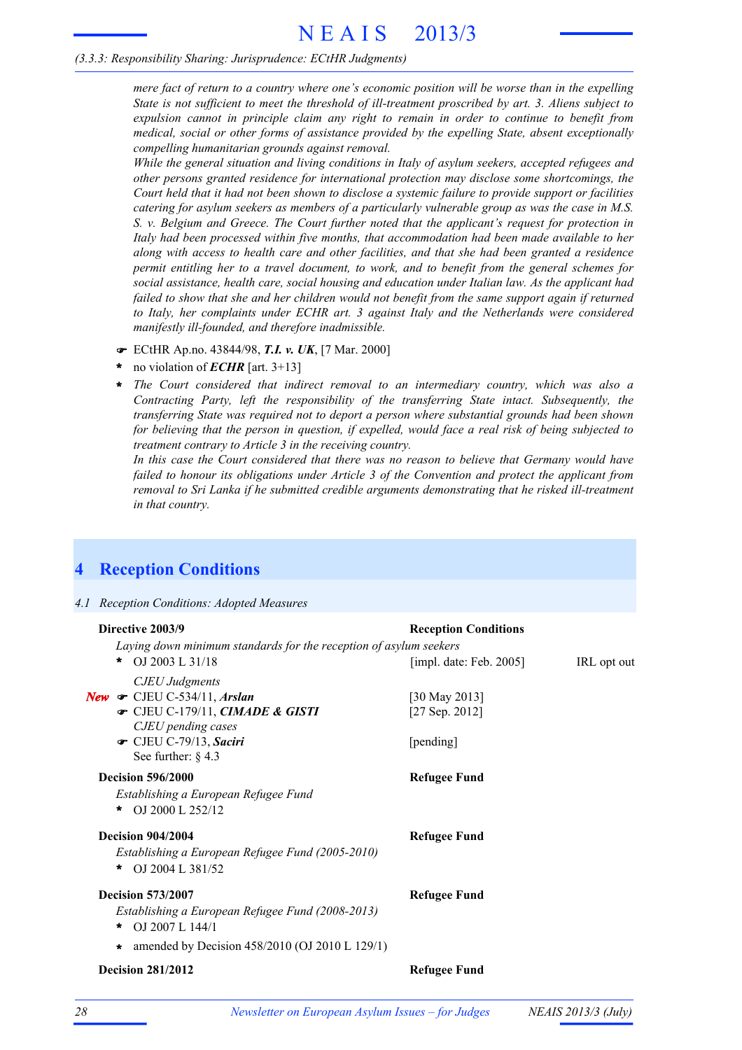#### *(3.3.3: Responsibility Sharing: Jurisprudence: ECtHR Judgments)*

*mere fact of return to a country where one's economic position will be worse than in the expelling State is not sufficient to meet the threshold of ill-treatment proscribed by art. 3. Aliens subject to expulsion cannot in principle claim any right to remain in order to continue to benefit from medical, social or other forms of assistance provided by the expelling State, absent exceptionally compelling humanitarian grounds against removal.*

*While the general situation and living conditions in Italy of asylum seekers, accepted refugees and other persons granted residence for international protection may disclose some shortcomings, the* Court held that it had not been shown to disclose a systemic failure to provide support or facilities *catering for asylum seekers as members of a particularly vulnerable group as was the case in M.S. S. v. Belgium and Greece. The Court further noted that the applicant's request for protection in Italy had been processed within five months, that accommodation had been made available to her along with access to health care and other facilities, and that she had been granted a residence permit entitling her to a travel document, to work, and to benefit from the general schemes for social assistance, health care, social housing and education under Italian law. As the applicant had failed to show that she and her children would not benefit from the same support again if returned to Italy, her complaints under ECHR art. 3 against Italy and the Netherlands were considered manifestly ill-founded, and therefore inadmissible.*

- ECtHR Ap.no. 43844/98, *T.I. v. UK*, [7 Mar. 2000]
- no violation of *ECHR* [art. 3+13] **\***
- *The Court considered that indirect removal to an intermediary country, which was also a Contracting Party, left the responsibility of the transferring State intact. Subsequently, the transferring State was required not to deport a person where substantial grounds had been shown* for believing that the person in question, if expelled, would face a real risk of being subjected to *treatment contrary to Article 3 in the receiving country.* **\***

*In this case the Court considered that there was no reason to believe that Germany would have failed to honour its obligations under Article 3 of the Convention and protect the applicant from removal to Sri Lanka if he submitted credible arguments demonstrating that he risked ill-treatment in that country.*

## **4 Reception Conditions**

#### *4.1 Reception Conditions: Adopted Measures*

| <b>Reception Conditions</b>                  |                                                                   |
|----------------------------------------------|-------------------------------------------------------------------|
|                                              |                                                                   |
| [impl. date: Feb. $2005$ ]                   | IRL opt out                                                       |
| [30 May 2013]<br>[27 Sep. 2012]<br>[pending] |                                                                   |
| <b>Refugee Fund</b>                          |                                                                   |
| <b>Refugee Fund</b>                          |                                                                   |
| <b>Refugee Fund</b>                          |                                                                   |
| <b>Refugee Fund</b>                          |                                                                   |
|                                              | Laying down minimum standards for the reception of asylum seekers |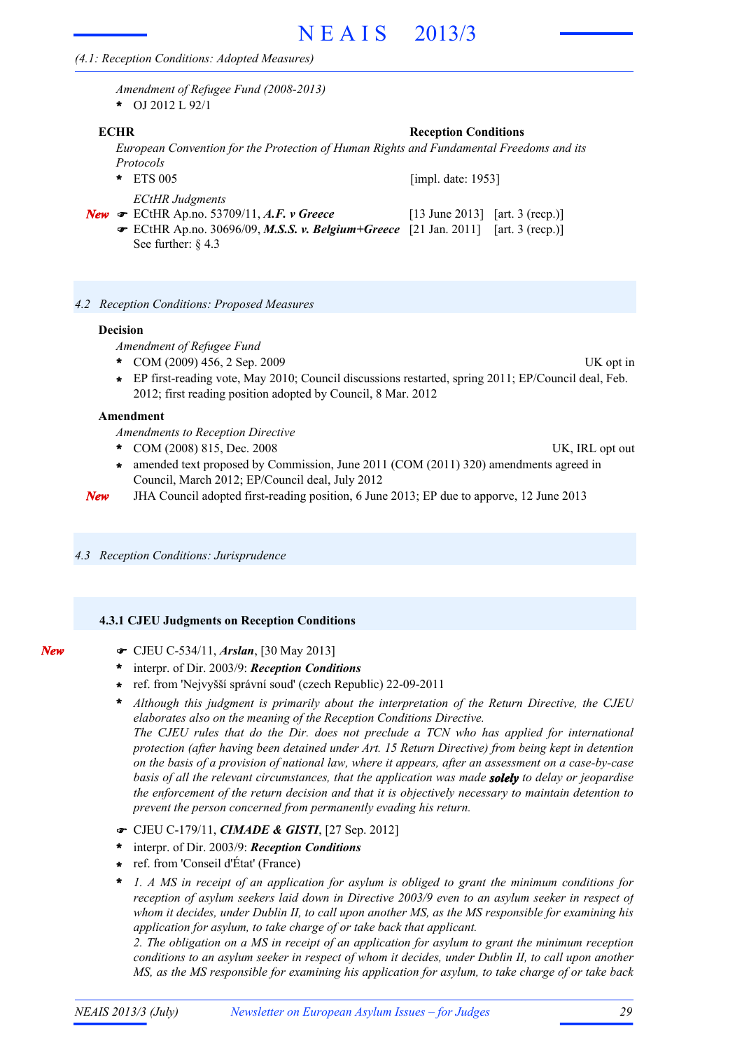*Amendment of Refugee Fund (2008-2013)* **\*** OJ 2012 L 92/1

#### **ECHR Reception Conditions**

*European Convention for the Protection of Human Rights and Fundamental Freedoms and its Protocols*

- ETS 005 **\*** *ECtHR Judgments* [impl. date: 1953]
- **New •** ECtHR Ap.no. 53709/11, A.F. *v* Greece [13 June 2013] [art. 3 (recp.)] ECtHR Ap.no. 30696/09, *M.S.S. v. Belgium+Greece* [21 Jan. 2011] [art. 3 (recp.)] See further: § 4.3
- *4.2 Reception Conditions: Proposed Measures*

#### **Decision**

- *Amendment of Refugee Fund*
- COM (2009) 456, 2 Sep. 2009 UK opt in **\***
- EP first-reading vote, May 2010; Council discussions restarted, spring 2011; EP/Council deal, Feb. 2012; first reading position adopted by Council, 8 Mar. 2012 **\***

#### **Amendment**

*Amendments to Reception Directive*

- COM (2008) 815, Dec. 2008 UK, IRL opt out **\***
- amended text proposed by Commission, June 2011 (COM (2011) 320) amendments agreed in Council, March 2012; EP/Council deal, July 2012 **\***
- *New* JHA Council adopted first-reading position, 6 June 2013; EP due to apporve, 12 June 2013
- *4.3 Reception Conditions: Jurisprudence*

#### **4.3.1 CJEU Judgments on Reception Conditions**

| × | ۰,<br>÷<br>$\sim$<br>÷ |
|---|------------------------|
|   |                        |

- CJEU C-534/11, *Arslan*, [30 May 2013]
- interpr. of Dir. 2003/9: *Reception Conditions* **\***
- ref. from 'Nejvyšší správní soud' (czech Republic) 22-09-2011 **\***
- *Although this judgment is primarily about the interpretation of the Return Directive, the CJEU* **\*** *elaborates also on the meaning of the Reception Conditions Directive. The CJEU rules that do the Dir. does not preclude a TCN who has applied for international*

*protection (after having been detained under Art. 15 Return Directive) from being kept in detention* on the basis of a provision of national law, where it appears, after an assessment on a case-by-case *basis of all the relevant circumstances, that the application was made solely to delay or jeopardise the enforcement of the return decision and that it is objectively necessary to maintain detention to prevent the person concerned from permanently evading his return.*

- CJEU C-179/11, *CIMADE & GISTI*, [27 Sep. 2012]
- interpr. of Dir. 2003/9: *Reception Conditions* **\***
- ref. from 'Conseil d'État' (France) **\***
- *1. A MS in receipt of an application for asylum is obliged to grant the minimum conditions for reception of asylum seekers laid down in Directive 2003/9 even to an asylum seeker in respect of whom it decides, under Dublin II, to call upon another MS, as the MS responsible for examining his application for asylum, to take charge of or take back that applicant.* **\***

*2. The obligation on a MS in receipt of an application for asylum to grant the minimum reception* conditions to an asylum seeker in respect of whom it decides, under Dublin II, to call upon another *MS, as the MS responsible for examining his application for asylum, to take charge of or take back*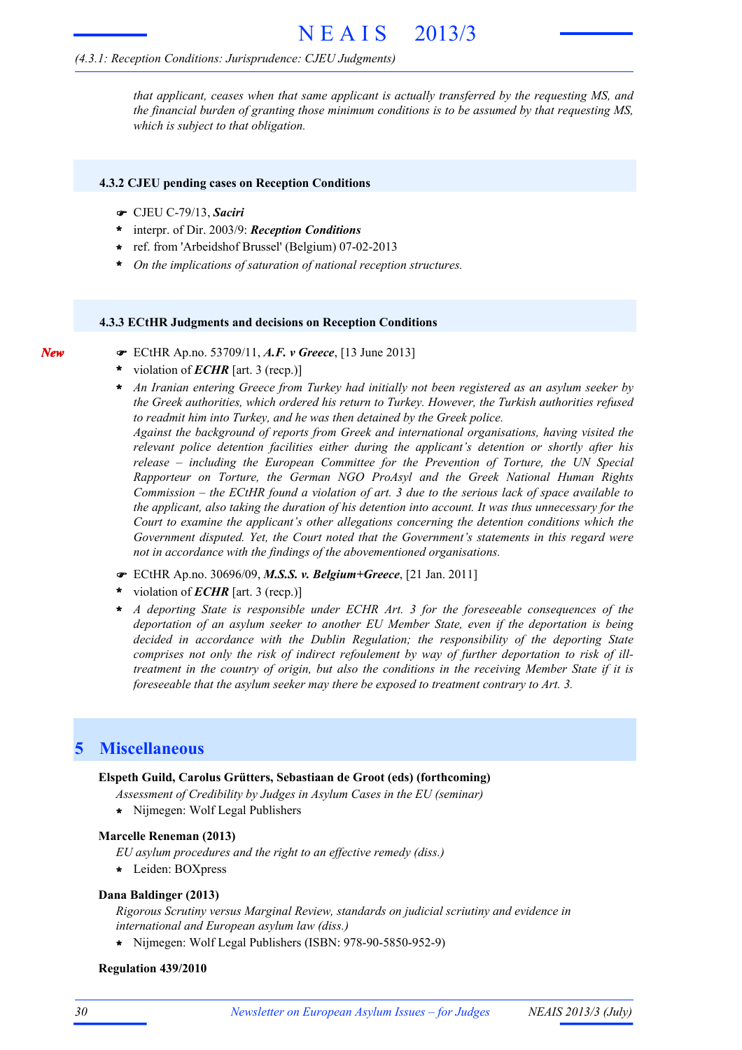#### *(4.3.1: Reception Conditions: Jurisprudence: CJEU Judgments)*

*that applicant, ceases when that same applicant is actually transferred by the requesting MS, and the financial burden of granting those minimum conditions is to be assumed by that requesting MS, which is subject to that obligation.*

#### **4.3.2 CJEU pending cases on Reception Conditions**

CJEU C-79/13, *Saciri*

*New*

- interpr. of Dir. 2003/9: *Reception Conditions* **\***
- ref. from 'Arbeidshof Brussel' (Belgium) 07-02-2013 **\***
- **\*** *On the implications of saturation of national reception structures.*

#### **4.3.3 ECtHR Judgments and decisions on Reception Conditions**

- ECtHR Ap.no. 53709/11, *A.F. v Greece*, [13 June 2013]
- violation of *ECHR* [art. 3 (recp.)] **\***
- *An Iranian entering Greece from Turkey had initially not been registered as an asylum seeker by the Greek authorities, which ordered his return to Turkey. However, the Turkish authorities refused to readmit him into Turkey, and he was then detained by the Greek police.* **\***

*Against the background of reports from Greek and international organisations, having visited the relevant police detention facilities either during the applicant's detention or shortly after his release – including the European Committee for the Prevention of Torture, the UN Special Rapporteur on Torture, the German NGO ProAsyl and the Greek National Human Rights* Commission – the ECtHR found a violation of art. 3 due to the serious lack of space available to *the applicant, also taking the duration of his detention into account. It was thus unnecessary for the Court to examine the applicant's other allegations concerning the detention conditions which the Government disputed. Yet, the Court noted that the Government's statements in this regard were not in accordance with the findings of the abovementioned organisations.*

- ECtHR Ap.no. 30696/09, *M.S.S. v. Belgium+Greece*, [21 Jan. 2011]
- violation of *ECHR* [art. 3 (recp.)] **\***
- *A deporting State is responsible under ECHR Art. 3 for the foreseeable consequences of the deportation of an asylum seeker to another EU Member State, even if the deportation is being decided in accordance with the Dublin Regulation; the responsibility of the deporting State comprises not only the risk of indirect refoulement by way of further deportation to risk of illtreatment in the country of origin, but also the conditions in the receiving Member State if it is foreseeable that the asylum seeker may there be exposed to treatment contrary to Art. 3.* **\***

## **5 Miscellaneous**

#### **Elspeth Guild, Carolus Grütters, Sebastiaan de Groot (eds) (forthcoming)**

*Assessment of Credibility by Judges in Asylum Cases in the EU (seminar)*

**\*** Nijmegen: Wolf Legal Publishers

#### **Marcelle Reneman (2013)**

- *EU asylum procedures and the right to an effective remedy (diss.)*
- **\*** Leiden: BOXpress

#### **Dana Baldinger (2013)**

*Rigorous Scrutiny versus Marginal Review, standards on judicial scriutiny and evidence in international and European asylum law (diss.)*

**\*** Nijmegen: Wolf Legal Publishers (ISBN: 978-90-5850-952-9)

#### **Regulation 439/2010**